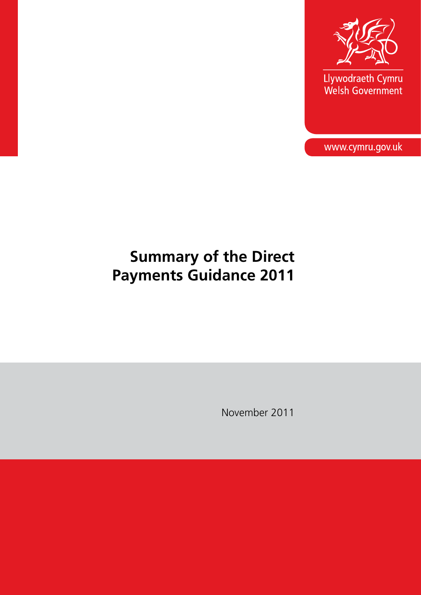

Llywodraeth Cymru<br>Welsh Government

www.cymru.gov.uk

# **Summary of the Direct Payments Guidance 2011**

November 2011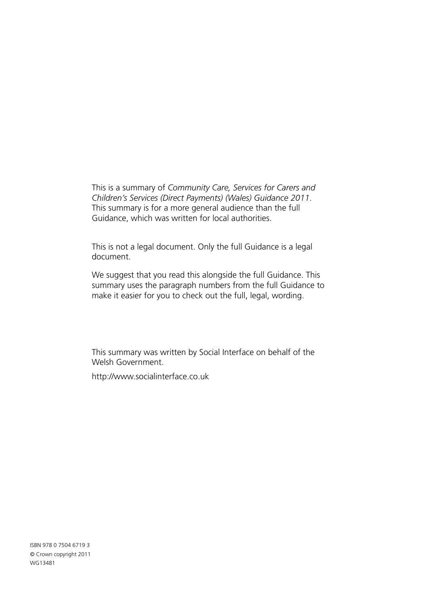This is a summary of *Community Care, Services for Carers and Children's Services (Direct Payments) (Wales) Guidance 2011*. This summary is for a more general audience than the full Guidance, which was written for local authorities.

This is not a legal document. Only the full Guidance is a legal document.

We suggest that you read this alongside the full Guidance. This summary uses the paragraph numbers from the full Guidance to make it easier for you to check out the full, legal, wording.

This summary was written by Social Interface on behalf of the Welsh Government.

http://www.socialinterface.co.uk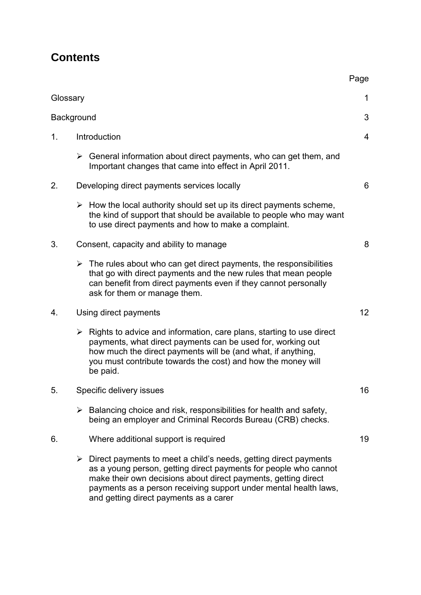# **Contents**

| Glossary   |                                         |                                                                                                                                                                                                                                                                                                                                       | $\mathbf 1$    |
|------------|-----------------------------------------|---------------------------------------------------------------------------------------------------------------------------------------------------------------------------------------------------------------------------------------------------------------------------------------------------------------------------------------|----------------|
| Background |                                         |                                                                                                                                                                                                                                                                                                                                       | 3              |
| 1.         | Introduction                            |                                                                                                                                                                                                                                                                                                                                       | $\overline{4}$ |
|            |                                         | $\triangleright$ General information about direct payments, who can get them, and<br>Important changes that came into effect in April 2011.                                                                                                                                                                                           |                |
| 2.         |                                         | Developing direct payments services locally                                                                                                                                                                                                                                                                                           | 6              |
|            |                                         | $\triangleright$ How the local authority should set up its direct payments scheme,<br>the kind of support that should be available to people who may want<br>to use direct payments and how to make a complaint.                                                                                                                      |                |
| 3.         | Consent, capacity and ability to manage |                                                                                                                                                                                                                                                                                                                                       | 8              |
|            |                                         | $\triangleright$ The rules about who can get direct payments, the responsibilities<br>that go with direct payments and the new rules that mean people<br>can benefit from direct payments even if they cannot personally<br>ask for them or manage them.                                                                              |                |
| 4.         | Using direct payments                   |                                                                                                                                                                                                                                                                                                                                       |                |
|            | $\blacktriangleright$                   | Rights to advice and information, care plans, starting to use direct<br>payments, what direct payments can be used for, working out<br>how much the direct payments will be (and what, if anything,<br>you must contribute towards the cost) and how the money will<br>be paid.                                                       |                |
| 5.         | Specific delivery issues                |                                                                                                                                                                                                                                                                                                                                       |                |
|            |                                         | $\triangleright$ Balancing choice and risk, responsibilities for health and safety,<br>being an employer and Criminal Records Bureau (CRB) checks.                                                                                                                                                                                    |                |
| 6.         |                                         | Where additional support is required                                                                                                                                                                                                                                                                                                  | 19             |
|            |                                         | $\triangleright$ Direct payments to meet a child's needs, getting direct payments<br>as a young person, getting direct payments for people who cannot<br>make their own decisions about direct payments, getting direct<br>payments as a person receiving support under mental health laws,<br>and getting direct payments as a carer |                |

Page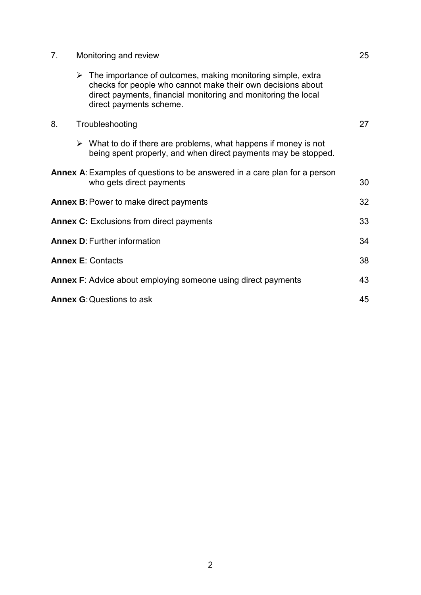| 7. | Monitoring and review                                                                                                                                                                                                                    | 25 |
|----|------------------------------------------------------------------------------------------------------------------------------------------------------------------------------------------------------------------------------------------|----|
|    | $\triangleright$ The importance of outcomes, making monitoring simple, extra<br>checks for people who cannot make their own decisions about<br>direct payments, financial monitoring and monitoring the local<br>direct payments scheme. |    |
| 8. | Troubleshooting                                                                                                                                                                                                                          | 27 |
|    | $\triangleright$ What to do if there are problems, what happens if money is not<br>being spent properly, and when direct payments may be stopped.                                                                                        |    |
|    | <b>Annex A:</b> Examples of questions to be answered in a care plan for a person<br>who gets direct payments                                                                                                                             | 30 |
|    | <b>Annex B: Power to make direct payments</b>                                                                                                                                                                                            | 32 |
|    | <b>Annex C:</b> Exclusions from direct payments                                                                                                                                                                                          | 33 |
|    | <b>Annex D: Further information</b>                                                                                                                                                                                                      | 34 |
|    | <b>Annex E: Contacts</b>                                                                                                                                                                                                                 | 38 |
|    | Annex F: Advice about employing someone using direct payments                                                                                                                                                                            | 43 |
|    | <b>Annex G: Questions to ask</b>                                                                                                                                                                                                         | 45 |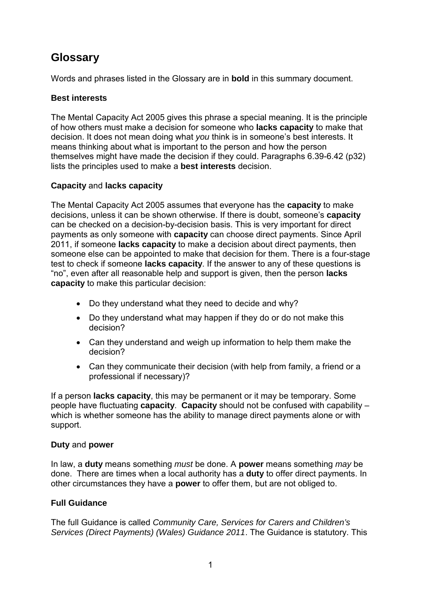# **Glossary**

Words and phrases listed in the Glossary are in **bold** in this summary document.

## **Best interests**

The Mental Capacity Act 2005 gives this phrase a special meaning. It is the principle of how others must make a decision for someone who **lacks capacity** to make that decision. It does not mean doing what *you* think is in someone's best interests. It means thinking about what is important to the person and how the person themselves might have made the decision if they could. Paragraphs 6.39-6.42 (p32) lists the principles used to make a **best interests** decision.

### **Capacity** and **lacks capacity**

The Mental Capacity Act 2005 assumes that everyone has the **capacity** to make decisions, unless it can be shown otherwise. If there is doubt, someone's **capacity** can be checked on a decision-by-decision basis. This is very important for direct payments as only someone with **capacity** can choose direct payments. Since April 2011, if someone **lacks capacity** to make a decision about direct payments, then someone else can be appointed to make that decision for them. There is a four-stage test to check if someone **lacks capacity**. If the answer to any of these questions is "no", even after all reasonable help and support is given, then the person **lacks capacity** to make this particular decision:

- Do they understand what they need to decide and why?
- Do they understand what may happen if they do or do not make this decision?
- Can they understand and weigh up information to help them make the decision?
- Can they communicate their decision (with help from family, a friend or a professional if necessary)?

If a person **lacks capacity**, this may be permanent or it may be temporary. Some people have fluctuating **capacity**. **Capacity** should not be confused with capability – which is whether someone has the ability to manage direct payments alone or with support.

### **Duty** and **power**

In law, a **duty** means something *must* be done. A **power** means something *may* be done. There are times when a local authority has a **duty** to offer direct payments. In other circumstances they have a **power** to offer them, but are not obliged to.

## **Full Guidance**

The full Guidance is called *Community Care, Services for Carers and Children's Services (Direct Payments) (Wales) Guidance 2011*. The Guidance is statutory. This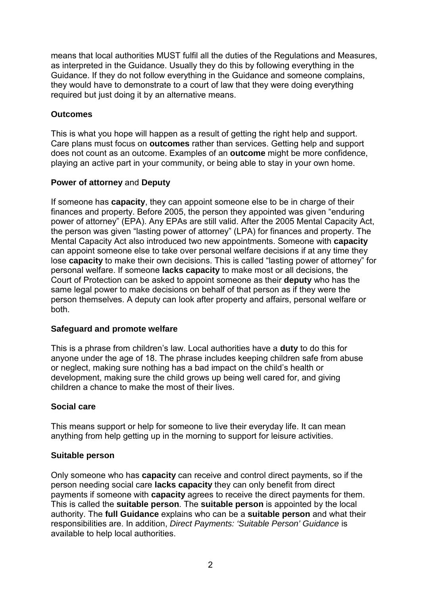means that local authorities MUST fulfil all the duties of the Regulations and Measures, as interpreted in the Guidance. Usually they do this by following everything in the Guidance. If they do not follow everything in the Guidance and someone complains, they would have to demonstrate to a court of law that they were doing everything required but just doing it by an alternative means.

## **Outcomes**

This is what you hope will happen as a result of getting the right help and support. Care plans must focus on **outcomes** rather than services. Getting help and support does not count as an outcome. Examples of an **outcome** might be more confidence, playing an active part in your community, or being able to stay in your own home.

## **Power of attorney** and **Deputy**

If someone has **capacity**, they can appoint someone else to be in charge of their finances and property. Before 2005, the person they appointed was given "enduring power of attorney" (EPA). Any EPAs are still valid. After the 2005 Mental Capacity Act, the person was given "lasting power of attorney" (LPA) for finances and property. The Mental Capacity Act also introduced two new appointments. Someone with **capacity** can appoint someone else to take over personal welfare decisions if at any time they lose **capacity** to make their own decisions. This is called "lasting power of attorney" for personal welfare. If someone **lacks capacity** to make most or all decisions, the Court of Protection can be asked to appoint someone as their **deputy** who has the same legal power to make decisions on behalf of that person as if they were the person themselves. A deputy can look after property and affairs, personal welfare or both.

## **Safeguard and promote welfare**

This is a phrase from children's law. Local authorities have a **duty** to do this for anyone under the age of 18. The phrase includes keeping children safe from abuse or neglect, making sure nothing has a bad impact on the child's health or development, making sure the child grows up being well cared for, and giving children a chance to make the most of their lives.

## **Social care**

This means support or help for someone to live their everyday life. It can mean anything from help getting up in the morning to support for leisure activities.

## **Suitable person**

Only someone who has **capacity** can receive and control direct payments, so if the person needing social care **lacks capacity** they can only benefit from direct payments if someone with **capacity** agrees to receive the direct payments for them. This is called the **suitable person**. The **suitable person** is appointed by the local authority. The **full Guidance** explains who can be a **suitable person** and what their responsibilities are. In addition, *Direct Payments: 'Suitable Person' Guidance* is available to help local authorities.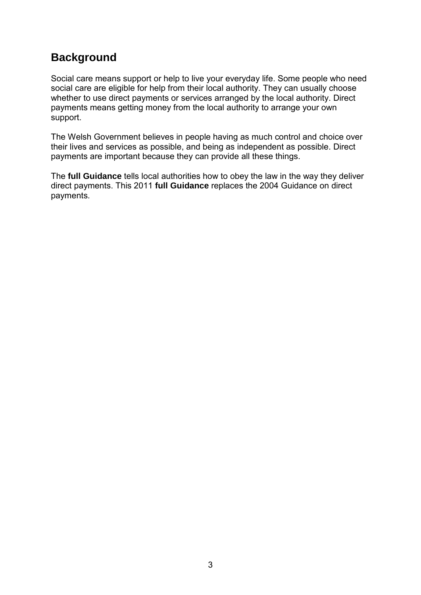# **Background**

Social care means support or help to live your everyday life. Some people who need social care are eligible for help from their local authority. They can usually choose whether to use direct payments or services arranged by the local authority. Direct payments means getting money from the local authority to arrange your own support.

The Welsh Government believes in people having as much control and choice over their lives and services as possible, and being as independent as possible. Direct payments are important because they can provide all these things.

The **full Guidance** tells local authorities how to obey the law in the way they deliver direct payments. This 2011 **full Guidance** replaces the 2004 Guidance on direct payments.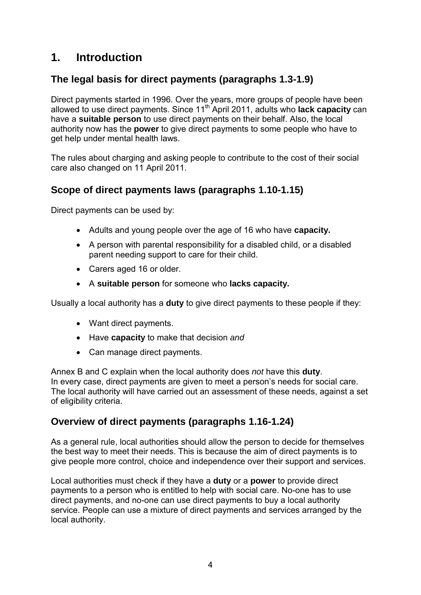# **1. Introduction**

# **The legal basis for direct payments (paragraphs 1.3-1.9)**

Direct payments started in 1996. Over the years, more groups of people have been allowed to use direct payments. Since 11th April 2011, adults who **lack capacity** can have a **suitable person** to use direct payments on their behalf. Also, the local authority now has the **power** to give direct payments to some people who have to get help under mental health laws.

The rules about charging and asking people to contribute to the cost of their social care also changed on 11 April 2011.

# **Scope of direct payments laws (paragraphs 1.10-1.15)**

Direct payments can be used by:

- Adults and young people over the age of 16 who have **capacity.**
- A person with parental responsibility for a disabled child, or a disabled parent needing support to care for their child.
- Carers aged 16 or older.
- A **suitable person** for someone who **lacks capacity.**

Usually a local authority has a **duty** to give direct payments to these people if they:

- Want direct payments.
- Have **capacity** to make that decision *and*
- Can manage direct payments.

Annex B and C explain when the local authority does *not* have this **duty**. In every case, direct payments are given to meet a person's needs for social care. The local authority will have carried out an assessment of these needs, against a set of eligibility criteria.

## **Overview of direct payments (paragraphs 1.16-1.24)**

As a general rule, local authorities should allow the person to decide for themselves the best way to meet their needs. This is because the aim of direct payments is to give people more control, choice and independence over their support and services.

Local authorities must check if they have a **duty** or a **power** to provide direct payments to a person who is entitled to help with social care. No-one has to use direct payments, and no-one can use direct payments to buy a local authority service. People can use a mixture of direct payments and services arranged by the local authority.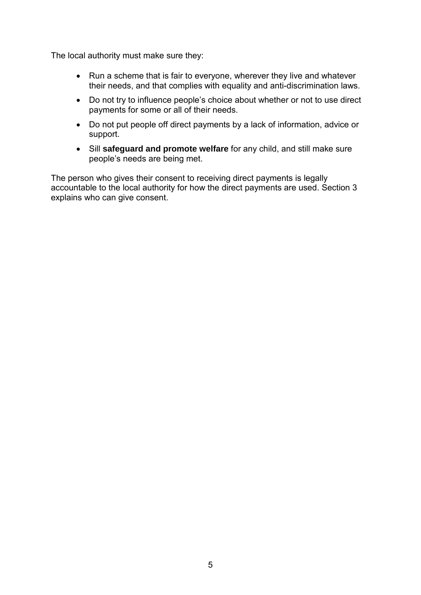The local authority must make sure they:

- Run a scheme that is fair to everyone, wherever they live and whatever their needs, and that complies with equality and anti-discrimination laws.
- Do not try to influence people's choice about whether or not to use direct payments for some or all of their needs.
- Do not put people off direct payments by a lack of information, advice or support.
- Sill **safeguard and promote welfare** for any child, and still make sure people's needs are being met.

The person who gives their consent to receiving direct payments is legally accountable to the local authority for how the direct payments are used. Section 3 explains who can give consent.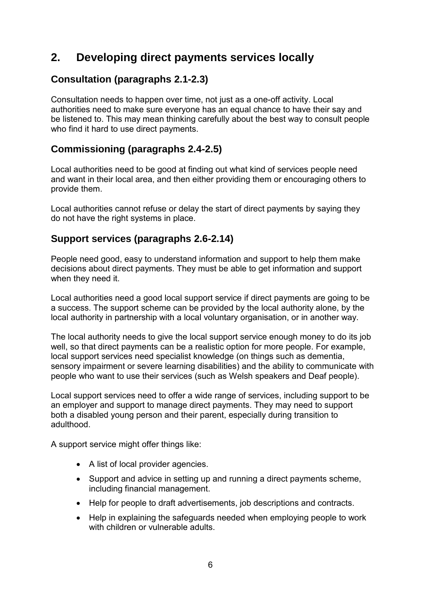# **2. Developing direct payments services locally**

# **Consultation (paragraphs 2.1-2.3)**

Consultation needs to happen over time, not just as a one-off activity. Local authorities need to make sure everyone has an equal chance to have their say and be listened to. This may mean thinking carefully about the best way to consult people who find it hard to use direct payments.

## **Commissioning (paragraphs 2.4-2.5)**

Local authorities need to be good at finding out what kind of services people need and want in their local area, and then either providing them or encouraging others to provide them.

Local authorities cannot refuse or delay the start of direct payments by saying they do not have the right systems in place.

## **Support services (paragraphs 2.6-2.14)**

People need good, easy to understand information and support to help them make decisions about direct payments. They must be able to get information and support when they need it.

Local authorities need a good local support service if direct payments are going to be a success. The support scheme can be provided by the local authority alone, by the local authority in partnership with a local voluntary organisation, or in another way.

The local authority needs to give the local support service enough money to do its job well, so that direct payments can be a realistic option for more people. For example, local support services need specialist knowledge (on things such as dementia, sensory impairment or severe learning disabilities) and the ability to communicate with people who want to use their services (such as Welsh speakers and Deaf people).

Local support services need to offer a wide range of services, including support to be an employer and support to manage direct payments. They may need to support both a disabled young person and their parent, especially during transition to adulthood.

A support service might offer things like:

- A list of local provider agencies.
- Support and advice in setting up and running a direct payments scheme, including financial management.
- Help for people to draft advertisements, job descriptions and contracts.
- Help in explaining the safeguards needed when employing people to work with children or vulnerable adults.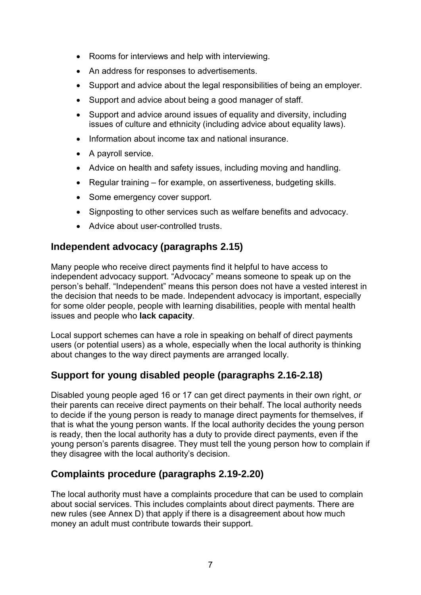- Rooms for interviews and help with interviewing.
- An address for responses to advertisements.
- Support and advice about the legal responsibilities of being an employer.
- Support and advice about being a good manager of staff.
- Support and advice around issues of equality and diversity, including issues of culture and ethnicity (including advice about equality laws).
- Information about income tax and national insurance.
- A payroll service.
- Advice on health and safety issues, including moving and handling.
- Regular training for example, on assertiveness, budgeting skills.
- Some emergency cover support.
- Signposting to other services such as welfare benefits and advocacy.
- Advice about user-controlled trusts.

## **Independent advocacy (paragraphs 2.15)**

Many people who receive direct payments find it helpful to have access to independent advocacy support. "Advocacy" means someone to speak up on the person's behalf. "Independent" means this person does not have a vested interest in the decision that needs to be made. Independent advocacy is important, especially for some older people, people with learning disabilities, people with mental health issues and people who **lack capacity**.

Local support schemes can have a role in speaking on behalf of direct payments users (or potential users) as a whole, especially when the local authority is thinking about changes to the way direct payments are arranged locally.

# **Support for young disabled people (paragraphs 2.16-2.18)**

Disabled young people aged 16 or 17 can get direct payments in their own right, *or* their parents can receive direct payments on their behalf. The local authority needs to decide if the young person is ready to manage direct payments for themselves, if that is what the young person wants. If the local authority decides the young person is ready, then the local authority has a duty to provide direct payments, even if the young person's parents disagree. They must tell the young person how to complain if they disagree with the local authority's decision.

# **Complaints procedure (paragraphs 2.19-2.20)**

The local authority must have a complaints procedure that can be used to complain about social services. This includes complaints about direct payments. There are new rules (see Annex D) that apply if there is a disagreement about how much money an adult must contribute towards their support.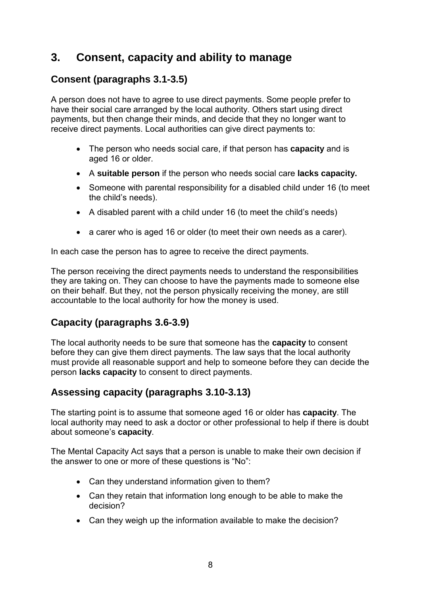# **3. Consent, capacity and ability to manage**

# **Consent (paragraphs 3.1-3.5)**

A person does not have to agree to use direct payments. Some people prefer to have their social care arranged by the local authority. Others start using direct payments, but then change their minds, and decide that they no longer want to receive direct payments. Local authorities can give direct payments to:

- The person who needs social care, if that person has **capacity** and is aged 16 or older.
- A **suitable person** if the person who needs social care **lacks capacity.**
- Someone with parental responsibility for a disabled child under 16 (to meet the child's needs).
- A disabled parent with a child under 16 (to meet the child's needs)
- a carer who is aged 16 or older (to meet their own needs as a carer).

In each case the person has to agree to receive the direct payments.

The person receiving the direct payments needs to understand the responsibilities they are taking on. They can choose to have the payments made to someone else on their behalf. But they, not the person physically receiving the money, are still accountable to the local authority for how the money is used.

# **Capacity (paragraphs 3.6-3.9)**

The local authority needs to be sure that someone has the **capacity** to consent before they can give them direct payments. The law says that the local authority must provide all reasonable support and help to someone before they can decide the person **lacks capacity** to consent to direct payments.

# **Assessing capacity (paragraphs 3.10-3.13)**

The starting point is to assume that someone aged 16 or older has **capacity**. The local authority may need to ask a doctor or other professional to help if there is doubt about someone's **capacity**.

The Mental Capacity Act says that a person is unable to make their own decision if the answer to one or more of these questions is "No":

- Can they understand information given to them?
- Can they retain that information long enough to be able to make the decision?
- Can they weigh up the information available to make the decision?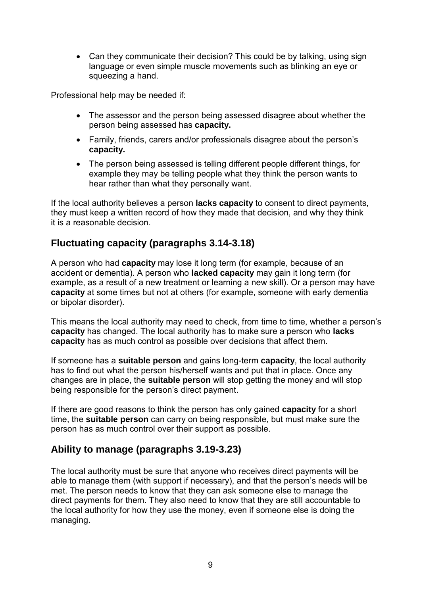• Can they communicate their decision? This could be by talking, using sign language or even simple muscle movements such as blinking an eye or squeezing a hand.

Professional help may be needed if:

- The assessor and the person being assessed disagree about whether the person being assessed has **capacity.**
- Family, friends, carers and/or professionals disagree about the person's **capacity.**
- The person being assessed is telling different people different things, for example they may be telling people what they think the person wants to hear rather than what they personally want.

If the local authority believes a person **lacks capacity** to consent to direct payments, they must keep a written record of how they made that decision, and why they think it is a reasonable decision.

# **Fluctuating capacity (paragraphs 3.14-3.18)**

A person who had **capacity** may lose it long term (for example, because of an accident or dementia). A person who **lacked capacity** may gain it long term (for example, as a result of a new treatment or learning a new skill). Or a person may have **capacity** at some times but not at others (for example, someone with early dementia or bipolar disorder).

This means the local authority may need to check, from time to time, whether a person's **capacity** has changed. The local authority has to make sure a person who **lacks capacity** has as much control as possible over decisions that affect them.

If someone has a **suitable person** and gains long-term **capacity**, the local authority has to find out what the person his/herself wants and put that in place. Once any changes are in place, the **suitable person** will stop getting the money and will stop being responsible for the person's direct payment.

If there are good reasons to think the person has only gained **capacity** for a short time, the **suitable person** can carry on being responsible, but must make sure the person has as much control over their support as possible.

# **Ability to manage (paragraphs 3.19-3.23)**

The local authority must be sure that anyone who receives direct payments will be able to manage them (with support if necessary), and that the person's needs will be met. The person needs to know that they can ask someone else to manage the direct payments for them. They also need to know that they are still accountable to the local authority for how they use the money, even if someone else is doing the managing.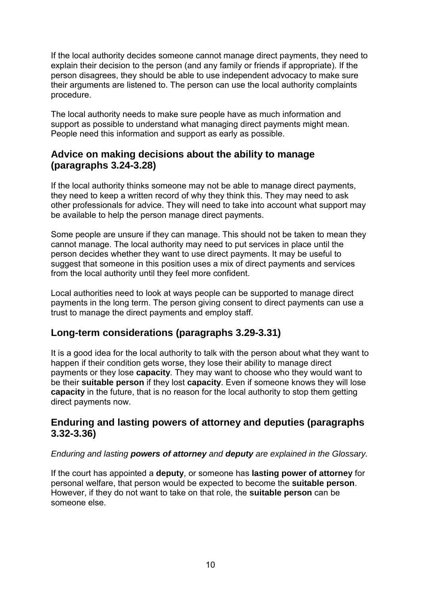If the local authority decides someone cannot manage direct payments, they need to explain their decision to the person (and any family or friends if appropriate). If the person disagrees, they should be able to use independent advocacy to make sure their arguments are listened to. The person can use the local authority complaints procedure.

The local authority needs to make sure people have as much information and support as possible to understand what managing direct payments might mean. People need this information and support as early as possible.

## **Advice on making decisions about the ability to manage (paragraphs 3.24-3.28)**

If the local authority thinks someone may not be able to manage direct payments, they need to keep a written record of why they think this. They may need to ask other professionals for advice. They will need to take into account what support may be available to help the person manage direct payments.

Some people are unsure if they can manage. This should not be taken to mean they cannot manage. The local authority may need to put services in place until the person decides whether they want to use direct payments. It may be useful to suggest that someone in this position uses a mix of direct payments and services from the local authority until they feel more confident.

Local authorities need to look at ways people can be supported to manage direct payments in the long term. The person giving consent to direct payments can use a trust to manage the direct payments and employ staff.

# **Long-term considerations (paragraphs 3.29-3.31)**

It is a good idea for the local authority to talk with the person about what they want to happen if their condition gets worse, they lose their ability to manage direct payments or they lose **capacity**. They may want to choose who they would want to be their **suitable person** if they lost **capacity**. Even if someone knows they will lose **capacity** in the future, that is no reason for the local authority to stop them getting direct payments now.

## **Enduring and lasting powers of attorney and deputies (paragraphs 3.32-3.36)**

## *Enduring and lasting powers of attorney and deputy are explained in the Glossary.*

If the court has appointed a **deputy**, or someone has **lasting power of attorney** for personal welfare, that person would be expected to become the **suitable person**. However, if they do not want to take on that role, the **suitable person** can be someone else.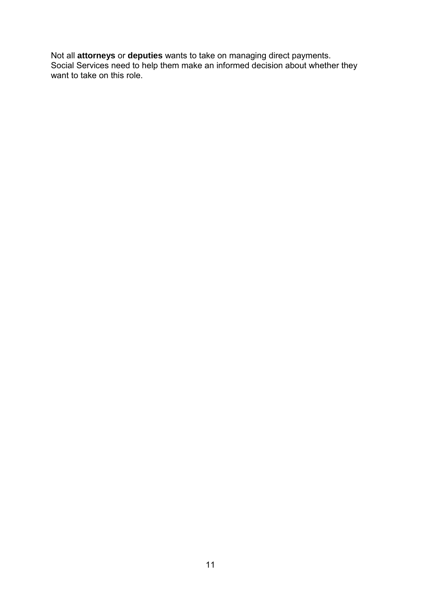Not all **attorneys** or **deputies** wants to take on managing direct payments. Social Services need to help them make an informed decision about whether they want to take on this role.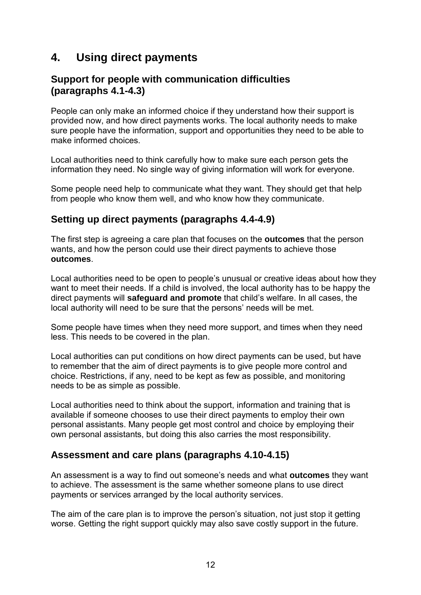# **4. Using direct payments**

## **Support for people with communication difficulties (paragraphs 4.1-4.3)**

People can only make an informed choice if they understand how their support is provided now, and how direct payments works. The local authority needs to make sure people have the information, support and opportunities they need to be able to make informed choices.

Local authorities need to think carefully how to make sure each person gets the information they need. No single way of giving information will work for everyone.

Some people need help to communicate what they want. They should get that help from people who know them well, and who know how they communicate.

# **Setting up direct payments (paragraphs 4.4-4.9)**

The first step is agreeing a care plan that focuses on the **outcomes** that the person wants, and how the person could use their direct payments to achieve those **outcomes**.

Local authorities need to be open to people's unusual or creative ideas about how they want to meet their needs. If a child is involved, the local authority has to be happy the direct payments will **safeguard and promote** that child's welfare. In all cases, the local authority will need to be sure that the persons' needs will be met.

Some people have times when they need more support, and times when they need less. This needs to be covered in the plan.

Local authorities can put conditions on how direct payments can be used, but have to remember that the aim of direct payments is to give people more control and choice. Restrictions, if any, need to be kept as few as possible, and monitoring needs to be as simple as possible.

Local authorities need to think about the support, information and training that is available if someone chooses to use their direct payments to employ their own personal assistants. Many people get most control and choice by employing their own personal assistants, but doing this also carries the most responsibility.

# **Assessment and care plans (paragraphs 4.10-4.15)**

An assessment is a way to find out someone's needs and what **outcomes** they want to achieve. The assessment is the same whether someone plans to use direct payments or services arranged by the local authority services.

The aim of the care plan is to improve the person's situation, not just stop it getting worse. Getting the right support quickly may also save costly support in the future.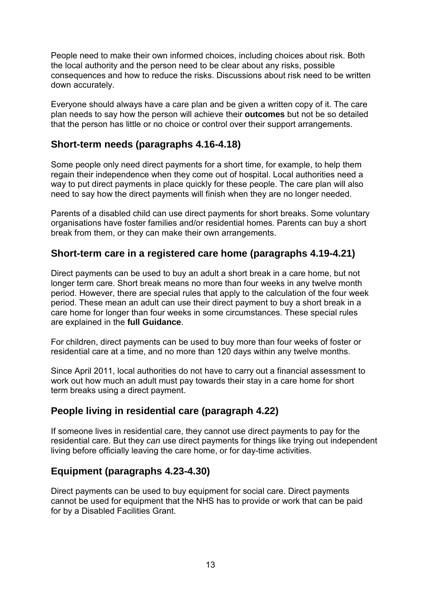People need to make their own informed choices, including choices about risk. Both the local authority and the person need to be clear about any risks, possible consequences and how to reduce the risks. Discussions about risk need to be written down accurately.

Everyone should always have a care plan and be given a written copy of it. The care plan needs to say how the person will achieve their **outcomes** but not be so detailed that the person has little or no choice or control over their support arrangements.

# **Short-term needs (paragraphs 4.16-4.18)**

Some people only need direct payments for a short time, for example, to help them regain their independence when they come out of hospital. Local authorities need a way to put direct payments in place quickly for these people. The care plan will also need to say how the direct payments will finish when they are no longer needed.

Parents of a disabled child can use direct payments for short breaks. Some voluntary organisations have foster families and/or residential homes. Parents can buy a short break from them, or they can make their own arrangements.

# **Short-term care in a registered care home (paragraphs 4.19-4.21)**

Direct payments can be used to buy an adult a short break in a care home, but not longer term care. Short break means no more than four weeks in any twelve month period. However, there are special rules that apply to the calculation of the four week period. These mean an adult can use their direct payment to buy a short break in a care home for longer than four weeks in some circumstances. These special rules are explained in the **full Guidance**.

For children, direct payments can be used to buy more than four weeks of foster or residential care at a time, and no more than 120 days within any twelve months.

Since April 2011, local authorities do not have to carry out a financial assessment to work out how much an adult must pay towards their stay in a care home for short term breaks using a direct payment.

# **People living in residential care (paragraph 4.22)**

If someone lives in residential care, they cannot use direct payments to pay for the residential care. But they *can* use direct payments for things like trying out independent living before officially leaving the care home, or for day-time activities.

# **Equipment (paragraphs 4.23-4.30)**

Direct payments can be used to buy equipment for social care. Direct payments cannot be used for equipment that the NHS has to provide or work that can be paid for by a Disabled Facilities Grant.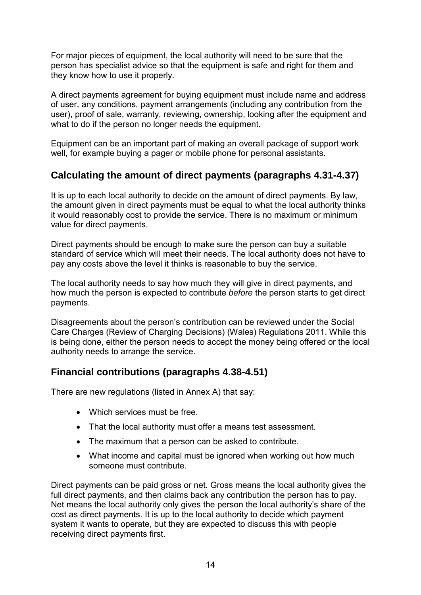For major pieces of equipment, the local authority will need to be sure that the person has specialist advice so that the equipment is safe and right for them and they know how to use it properly.

A direct payments agreement for buying equipment must include name and address of user, any conditions, payment arrangements (including any contribution from the user), proof of sale, warranty, reviewing, ownership, looking after the equipment and what to do if the person no longer needs the equipment.

Equipment can be an important part of making an overall package of support work well, for example buying a pager or mobile phone for personal assistants.

# **Calculating the amount of direct payments (paragraphs 4.31-4.37)**

It is up to each local authority to decide on the amount of direct payments. By law, the amount given in direct payments must be equal to what the local authority thinks it would reasonably cost to provide the service. There is no maximum or minimum value for direct payments.

Direct payments should be enough to make sure the person can buy a suitable standard of service which will meet their needs. The local authority does not have to pay any costs above the level it thinks is reasonable to buy the service.

The local authority needs to say how much they will give in direct payments, and how much the person is expected to contribute *before* the person starts to get direct payments.

Disagreements about the person's contribution can be reviewed under the Social Care Charges (Review of Charging Decisions) (Wales) Regulations 2011. While this is being done, either the person needs to accept the money being offered or the local authority needs to arrange the service.

# **Financial contributions (paragraphs 4.38-4.51)**

There are new regulations (listed in Annex A) that say:

- Which services must be free.
- That the local authority must offer a means test assessment.
- The maximum that a person can be asked to contribute.
- What income and capital must be ignored when working out how much someone must contribute.

Direct payments can be paid gross or net. Gross means the local authority gives the full direct payments, and then claims back any contribution the person has to pay. Net means the local authority only gives the person the local authority's share of the cost as direct payments. It is up to the local authority to decide which payment system it wants to operate, but they are expected to discuss this with people receiving direct payments first.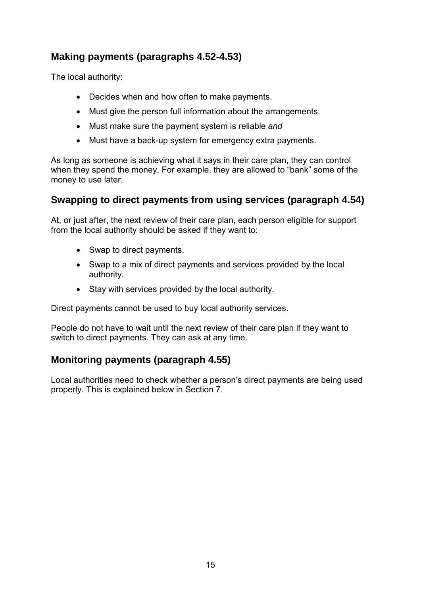# **Making payments (paragraphs 4.52-4.53)**

The local authority:

- Decides when and how often to make payments.
- Must give the person full information about the arrangements.
- Must make sure the payment system is reliable *and*
- Must have a back-up system for emergency extra payments.

As long as someone is achieving what it says in their care plan, they can control when they spend the money. For example, they are allowed to "bank" some of the money to use later.

# **Swapping to direct payments from using services (paragraph 4.54)**

At, or just after, the next review of their care plan, each person eligible for support from the local authority should be asked if they want to:

- Swap to direct payments.
- Swap to a mix of direct payments and services provided by the local authority.
- Stay with services provided by the local authority.

Direct payments cannot be used to buy local authority services.

People do not have to wait until the next review of their care plan if they want to switch to direct payments. They can ask at any time.

# **Monitoring payments (paragraph 4.55)**

Local authorities need to check whether a person's direct payments are being used properly. This is explained below in Section 7.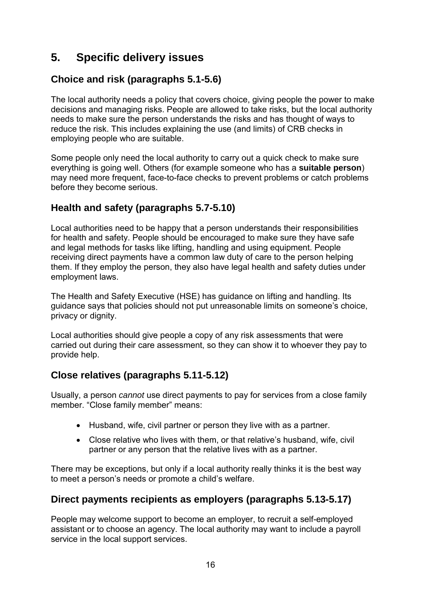# **5. Specific delivery issues**

# **Choice and risk (paragraphs 5.1-5.6)**

The local authority needs a policy that covers choice, giving people the power to make decisions and managing risks. People are allowed to take risks, but the local authority needs to make sure the person understands the risks and has thought of ways to reduce the risk. This includes explaining the use (and limits) of CRB checks in employing people who are suitable.

Some people only need the local authority to carry out a quick check to make sure everything is going well. Others (for example someone who has a **suitable person**) may need more frequent, face-to-face checks to prevent problems or catch problems before they become serious.

# **Health and safety (paragraphs 5.7-5.10)**

Local authorities need to be happy that a person understands their responsibilities for health and safety. People should be encouraged to make sure they have safe and legal methods for tasks like lifting, handling and using equipment. People receiving direct payments have a common law duty of care to the person helping them. If they employ the person, they also have legal health and safety duties under employment laws.

The Health and Safety Executive (HSE) has guidance on lifting and handling. Its guidance says that policies should not put unreasonable limits on someone's choice, privacy or dignity.

Local authorities should give people a copy of any risk assessments that were carried out during their care assessment, so they can show it to whoever they pay to provide help.

# **Close relatives (paragraphs 5.11-5.12)**

Usually, a person *cannot* use direct payments to pay for services from a close family member. "Close family member" means:

- Husband, wife, civil partner or person they live with as a partner.
- Close relative who lives with them, or that relative's husband, wife, civil partner or any person that the relative lives with as a partner.

There may be exceptions, but only if a local authority really thinks it is the best way to meet a person's needs or promote a child's welfare.

# **Direct payments recipients as employers (paragraphs 5.13-5.17)**

People may welcome support to become an employer, to recruit a self-employed assistant or to choose an agency. The local authority may want to include a payroll service in the local support services.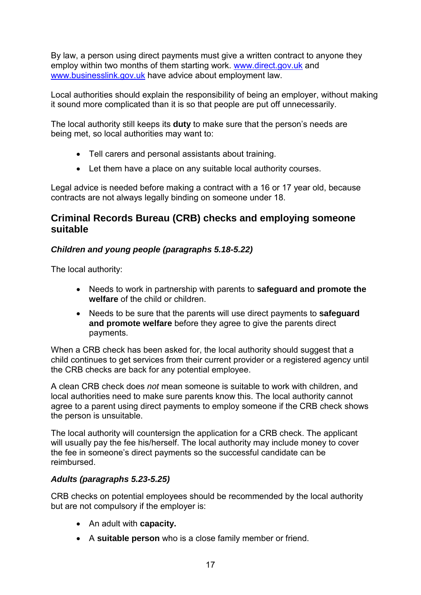By law, a person using direct payments must give a written contract to anyone they employ within two months of them starting work. [www.direct.gov.uk](http://www.direct.gov.uk/) and [www.businesslink.gov.uk](http://www.businesslink.gov.uk/) have advice about employment law.

Local authorities should explain the responsibility of being an employer, without making it sound more complicated than it is so that people are put off unnecessarily.

The local authority still keeps its **duty** to make sure that the person's needs are being met, so local authorities may want to:

- Tell carers and personal assistants about training.
- Let them have a place on any suitable local authority courses.

Legal advice is needed before making a contract with a 16 or 17 year old, because contracts are not always legally binding on someone under 18.

## **Criminal Records Bureau (CRB) checks and employing someone suitable**

## *Children and young people (paragraphs 5.18-5.22)*

The local authority:

- Needs to work in partnership with parents to **safeguard and promote the welfare** of the child or children.
- Needs to be sure that the parents will use direct payments to **safeguard and promote welfare** before they agree to give the parents direct payments.

When a CRB check has been asked for, the local authority should suggest that a child continues to get services from their current provider or a registered agency until the CRB checks are back for any potential employee.

A clean CRB check does *not* mean someone is suitable to work with children, and local authorities need to make sure parents know this. The local authority cannot agree to a parent using direct payments to employ someone if the CRB check shows the person is unsuitable.

The local authority will countersign the application for a CRB check. The applicant will usually pay the fee his/herself. The local authority may include money to cover the fee in someone's direct payments so the successful candidate can be reimbursed.

### *Adults (paragraphs 5.23-5.25)*

CRB checks on potential employees should be recommended by the local authority but are not compulsory if the employer is:

- An adult with **capacity.**
- A **suitable person** who is a close family member or friend.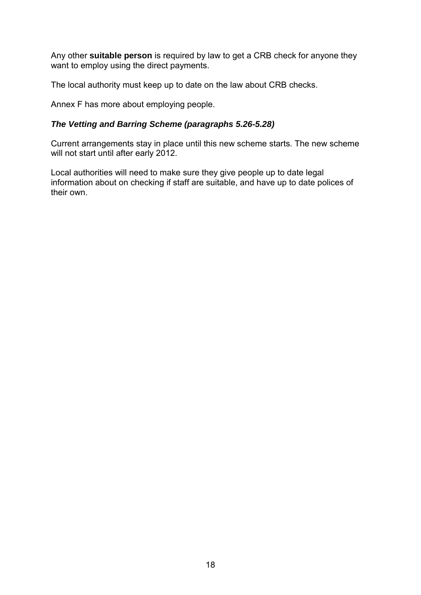Any other **suitable person** is required by law to get a CRB check for anyone they want to employ using the direct payments.

The local authority must keep up to date on the law about CRB checks.

Annex F has more about employing people.

## *The Vetting and Barring Scheme (paragraphs 5.26-5.28)*

Current arrangements stay in place until this new scheme starts. The new scheme will not start until after early 2012.

Local authorities will need to make sure they give people up to date legal information about on checking if staff are suitable, and have up to date polices of their own.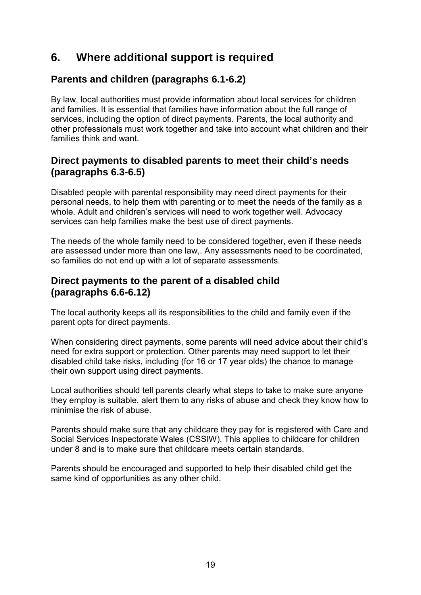# **6. Where additional support is required**

# **Parents and children (paragraphs 6.1-6.2)**

By law, local authorities must provide information about local services for children and families. It is essential that families have information about the full range of services, including the option of direct payments. Parents, the local authority and other professionals must work together and take into account what children and their families think and want.

# **Direct payments to disabled parents to meet their child's needs (paragraphs 6.3-6.5)**

Disabled people with parental responsibility may need direct payments for their personal needs, to help them with parenting or to meet the needs of the family as a whole. Adult and children's services will need to work together well. Advocacy services can help families make the best use of direct payments.

The needs of the whole family need to be considered together, even if these needs are assessed under more than one law,. Any assessments need to be coordinated, so families do not end up with a lot of separate assessments.

## **Direct payments to the parent of a disabled child (paragraphs 6.6-6.12)**

The local authority keeps all its responsibilities to the child and family even if the parent opts for direct payments.

When considering direct payments, some parents will need advice about their child's need for extra support or protection. Other parents may need support to let their disabled child take risks, including (for 16 or 17 year olds) the chance to manage their own support using direct payments.

Local authorities should tell parents clearly what steps to take to make sure anyone they employ is suitable, alert them to any risks of abuse and check they know how to minimise the risk of abuse.

Parents should make sure that any childcare they pay for is registered with Care and Social Services Inspectorate Wales (CSSIW). This applies to childcare for children under 8 and is to make sure that childcare meets certain standards.

Parents should be encouraged and supported to help their disabled child get the same kind of opportunities as any other child.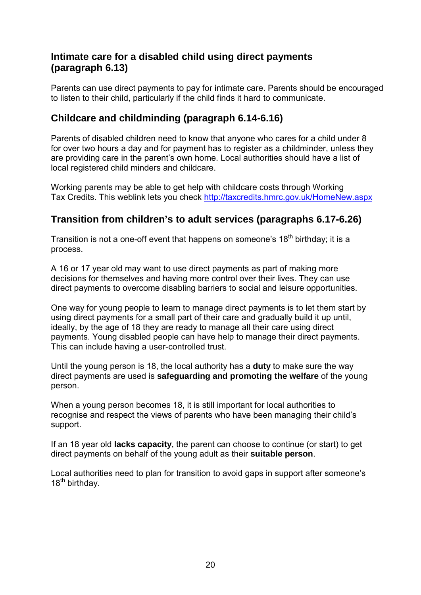# **Intimate care for a disabled child using direct payments (paragraph 6.13)**

Parents can use direct payments to pay for intimate care. Parents should be encouraged to listen to their child, particularly if the child finds it hard to communicate.

## **Childcare and childminding (paragraph 6.14-6.16)**

Parents of disabled children need to know that anyone who cares for a child under 8 for over two hours a day and for payment has to register as a childminder, unless they are providing care in the parent's own home. Local authorities should have a list of local registered child minders and childcare.

Working parents may be able to get help with childcare costs through Working Tax Credits. This weblink lets you check <http://taxcredits.hmrc.gov.uk/HomeNew.aspx>

# **Transition from children's to adult services (paragraphs 6.17-6.26)**

Transition is not a one-off event that happens on someone's 18<sup>th</sup> birthday; it is a process.

A 16 or 17 year old may want to use direct payments as part of making more decisions for themselves and having more control over their lives. They can use direct payments to overcome disabling barriers to social and leisure opportunities.

One way for young people to learn to manage direct payments is to let them start by using direct payments for a small part of their care and gradually build it up until, ideally, by the age of 18 they are ready to manage all their care using direct payments. Young disabled people can have help to manage their direct payments. This can include having a user-controlled trust.

Until the young person is 18, the local authority has a **duty** to make sure the way direct payments are used is **safeguarding and promoting the welfare** of the young person.

When a young person becomes 18, it is still important for local authorities to recognise and respect the views of parents who have been managing their child's support.

If an 18 year old **lacks capacity**, the parent can choose to continue (or start) to get direct payments on behalf of the young adult as their **suitable person**.

Local authorities need to plan for transition to avoid gaps in support after someone's  $18^{th}$  birthday.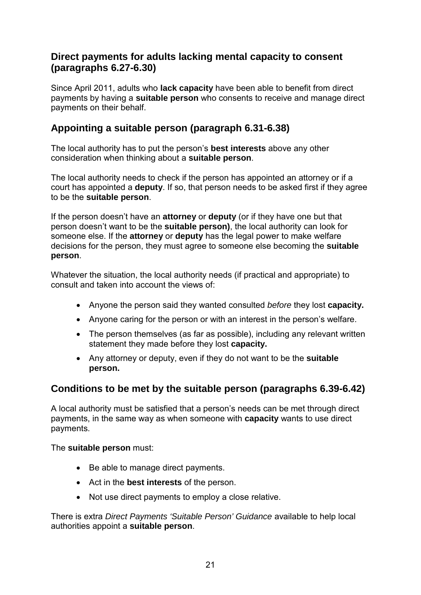## **Direct payments for adults lacking mental capacity to consent (paragraphs 6.27-6.30)**

Since April 2011, adults who **lack capacity** have been able to benefit from direct payments by having a **suitable person** who consents to receive and manage direct payments on their behalf.

## **Appointing a suitable person (paragraph 6.31-6.38)**

The local authority has to put the person's **best interests** above any other consideration when thinking about a **suitable person**.

The local authority needs to check if the person has appointed an attorney or if a court has appointed a **deputy**. If so, that person needs to be asked first if they agree to be the **suitable person**.

If the person doesn't have an **attorney** or **deputy** (or if they have one but that person doesn't want to be the **suitable person)**, the local authority can look for someone else. If the **attorney** or **deputy** has the legal power to make welfare decisions for the person, they must agree to someone else becoming the **suitable person**.

Whatever the situation, the local authority needs (if practical and appropriate) to consult and taken into account the views of:

- Anyone the person said they wanted consulted *before* they lost **capacity.**
- Anyone caring for the person or with an interest in the person's welfare.
- The person themselves (as far as possible), including any relevant written statement they made before they lost **capacity.**
- Any attorney or deputy, even if they do not want to be the **suitable person.**

# **Conditions to be met by the suitable person (paragraphs 6.39-6.42)**

A local authority must be satisfied that a person's needs can be met through direct payments, in the same way as when someone with **capacity** wants to use direct payments.

The **suitable person** must:

- Be able to manage direct payments.
- Act in the **best interests** of the person.
- Not use direct payments to employ a close relative.

There is extra *Direct Payments 'Suitable Person' Guidance* available to help local authorities appoint a **suitable person**.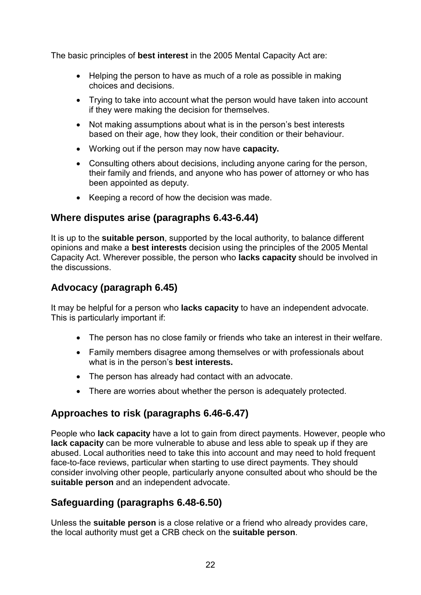The basic principles of **best interest** in the 2005 Mental Capacity Act are:

- Helping the person to have as much of a role as possible in making choices and decisions.
- Trying to take into account what the person would have taken into account if they were making the decision for themselves.
- Not making assumptions about what is in the person's best interests based on their age, how they look, their condition or their behaviour.
- Working out if the person may now have **capacity.**
- Consulting others about decisions, including anyone caring for the person, their family and friends, and anyone who has power of attorney or who has been appointed as deputy.
- Keeping a record of how the decision was made.

## **Where disputes arise (paragraphs 6.43-6.44)**

It is up to the **suitable person**, supported by the local authority, to balance different opinions and make a **best interests** decision using the principles of the 2005 Mental Capacity Act. Wherever possible, the person who **lacks capacity** should be involved in the discussions.

# **Advocacy (paragraph 6.45)**

It may be helpful for a person who **lacks capacity** to have an independent advocate. This is particularly important if:

- The person has no close family or friends who take an interest in their welfare.
- Family members disagree among themselves or with professionals about what is in the person's **best interests.**
- The person has already had contact with an advocate.
- There are worries about whether the person is adequately protected.

# **Approaches to risk (paragraphs 6.46-6.47)**

People who **lack capacity** have a lot to gain from direct payments. However, people who **lack capacity** can be more vulnerable to abuse and less able to speak up if they are abused. Local authorities need to take this into account and may need to hold frequent face-to-face reviews, particular when starting to use direct payments. They should consider involving other people, particularly anyone consulted about who should be the **suitable person** and an independent advocate.

# **Safeguarding (paragraphs 6.48-6.50)**

Unless the **suitable person** is a close relative or a friend who already provides care, the local authority must get a CRB check on the **suitable person**.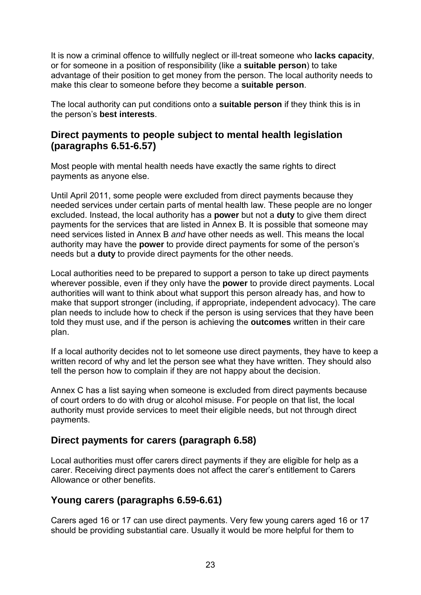It is now a criminal offence to willfully neglect or ill-treat someone who **lacks capacity**, or for someone in a position of responsibility (like a **suitable person**) to take advantage of their position to get money from the person. The local authority needs to make this clear to someone before they become a **suitable person**.

The local authority can put conditions onto a **suitable person** if they think this is in the person's **best interests**.

## **Direct payments to people subject to mental health legislation (paragraphs 6.51-6.57)**

Most people with mental health needs have exactly the same rights to direct payments as anyone else.

Until April 2011, some people were excluded from direct payments because they needed services under certain parts of mental health law. These people are no longer excluded. Instead, the local authority has a **power** but not a **duty** to give them direct payments for the services that are listed in Annex B. It is possible that someone may need services listed in Annex B *and* have other needs as well. This means the local authority may have the **power** to provide direct payments for some of the person's needs but a **duty** to provide direct payments for the other needs.

Local authorities need to be prepared to support a person to take up direct payments wherever possible, even if they only have the **power** to provide direct payments. Local authorities will want to think about what support this person already has, and how to make that support stronger (including, if appropriate, independent advocacy). The care plan needs to include how to check if the person is using services that they have been told they must use, and if the person is achieving the **outcomes** written in their care plan.

If a local authority decides not to let someone use direct payments, they have to keep a written record of why and let the person see what they have written. They should also tell the person how to complain if they are not happy about the decision.

Annex C has a list saying when someone is excluded from direct payments because of court orders to do with drug or alcohol misuse. For people on that list, the local authority must provide services to meet their eligible needs, but not through direct payments.

# **Direct payments for carers (paragraph 6.58)**

Local authorities must offer carers direct payments if they are eligible for help as a carer. Receiving direct payments does not affect the carer's entitlement to Carers Allowance or other benefits.

# **Young carers (paragraphs 6.59-6.61)**

Carers aged 16 or 17 can use direct payments. Very few young carers aged 16 or 17 should be providing substantial care. Usually it would be more helpful for them to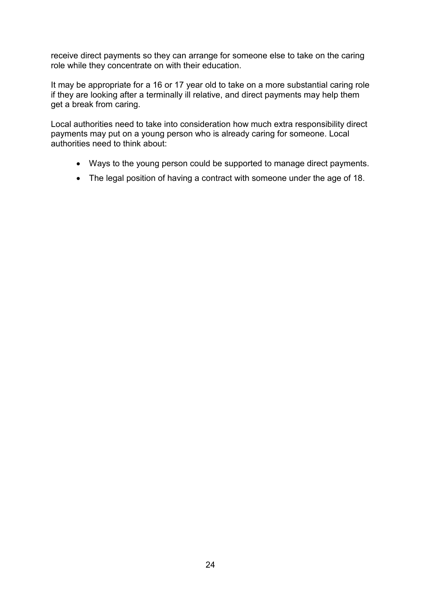receive direct payments so they can arrange for someone else to take on the caring role while they concentrate on with their education.

It may be appropriate for a 16 or 17 year old to take on a more substantial caring role if they are looking after a terminally ill relative, and direct payments may help them get a break from caring.

Local authorities need to take into consideration how much extra responsibility direct payments may put on a young person who is already caring for someone. Local authorities need to think about:

- Ways to the young person could be supported to manage direct payments.
- The legal position of having a contract with someone under the age of 18.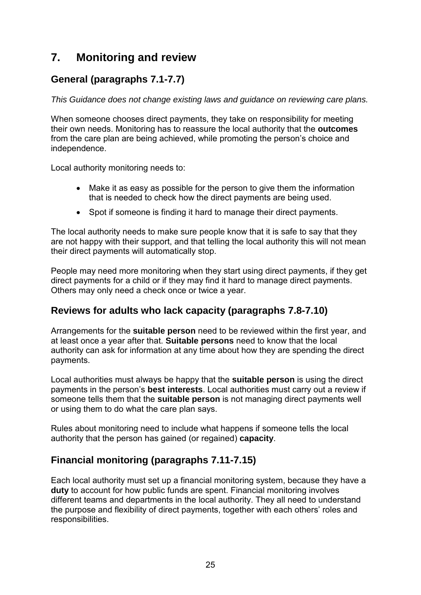# **7. Monitoring and review**

# **General (paragraphs 7.1-7.7)**

*This Guidance does not change existing laws and guidance on reviewing care plans.* 

When someone chooses direct payments, they take on responsibility for meeting their own needs. Monitoring has to reassure the local authority that the **outcomes**  from the care plan are being achieved, while promoting the person's choice and independence.

Local authority monitoring needs to:

- Make it as easy as possible for the person to give them the information that is needed to check how the direct payments are being used.
- Spot if someone is finding it hard to manage their direct payments.

The local authority needs to make sure people know that it is safe to say that they are not happy with their support, and that telling the local authority this will not mean their direct payments will automatically stop.

People may need more monitoring when they start using direct payments, if they get direct payments for a child or if they may find it hard to manage direct payments. Others may only need a check once or twice a year.

# **Reviews for adults who lack capacity (paragraphs 7.8-7.10)**

Arrangements for the **suitable person** need to be reviewed within the first year, and at least once a year after that. **Suitable persons** need to know that the local authority can ask for information at any time about how they are spending the direct payments.

Local authorities must always be happy that the **suitable person** is using the direct payments in the person's **best interests**. Local authorities must carry out a review if someone tells them that the **suitable person** is not managing direct payments well or using them to do what the care plan says.

Rules about monitoring need to include what happens if someone tells the local authority that the person has gained (or regained) **capacity**.

# **Financial monitoring (paragraphs 7.11-7.15)**

Each local authority must set up a financial monitoring system, because they have a **duty** to account for how public funds are spent. Financial monitoring involves different teams and departments in the local authority. They all need to understand the purpose and flexibility of direct payments, together with each others' roles and responsibilities.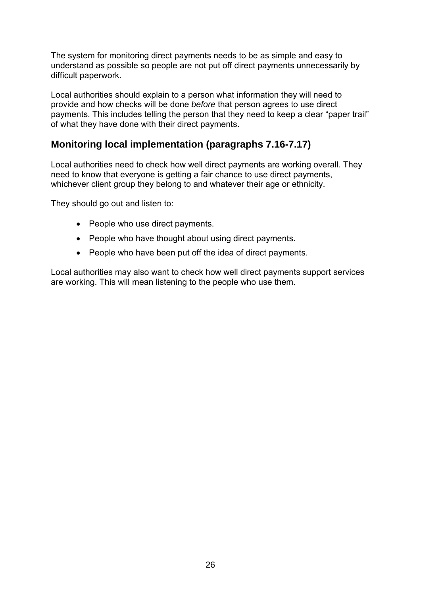The system for monitoring direct payments needs to be as simple and easy to understand as possible so people are not put off direct payments unnecessarily by difficult paperwork.

Local authorities should explain to a person what information they will need to provide and how checks will be done *before* that person agrees to use direct payments. This includes telling the person that they need to keep a clear "paper trail" of what they have done with their direct payments.

# **Monitoring local implementation (paragraphs 7.16-7.17)**

Local authorities need to check how well direct payments are working overall. They need to know that everyone is getting a fair chance to use direct payments, whichever client group they belong to and whatever their age or ethnicity.

They should go out and listen to:

- People who use direct payments.
- People who have thought about using direct payments.
- People who have been put off the idea of direct payments.

Local authorities may also want to check how well direct payments support services are working. This will mean listening to the people who use them.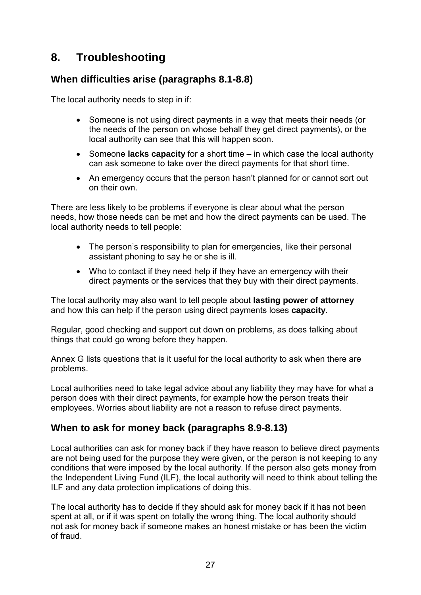# **8. Troubleshooting**

# **When difficulties arise (paragraphs 8.1-8.8)**

The local authority needs to step in if:

- Someone is not using direct payments in a way that meets their needs (or the needs of the person on whose behalf they get direct payments), or the local authority can see that this will happen soon.
- Someone **lacks capacity** for a short time in which case the local authority can ask someone to take over the direct payments for that short time.
- An emergency occurs that the person hasn't planned for or cannot sort out on their own.

There are less likely to be problems if everyone is clear about what the person needs, how those needs can be met and how the direct payments can be used. The local authority needs to tell people:

- The person's responsibility to plan for emergencies, like their personal assistant phoning to say he or she is ill.
- Who to contact if they need help if they have an emergency with their direct payments or the services that they buy with their direct payments.

The local authority may also want to tell people about **lasting power of attorney** and how this can help if the person using direct payments loses **capacity**.

Regular, good checking and support cut down on problems, as does talking about things that could go wrong before they happen.

Annex G lists questions that is it useful for the local authority to ask when there are problems.

Local authorities need to take legal advice about any liability they may have for what a person does with their direct payments, for example how the person treats their employees. Worries about liability are not a reason to refuse direct payments.

# **When to ask for money back (paragraphs 8.9-8.13)**

Local authorities can ask for money back if they have reason to believe direct payments are not being used for the purpose they were given, or the person is not keeping to any conditions that were imposed by the local authority. If the person also gets money from the Independent Living Fund (ILF), the local authority will need to think about telling the ILF and any data protection implications of doing this.

The local authority has to decide if they should ask for money back if it has not been spent at all, or if it was spent on totally the wrong thing. The local authority should not ask for money back if someone makes an honest mistake or has been the victim of fraud.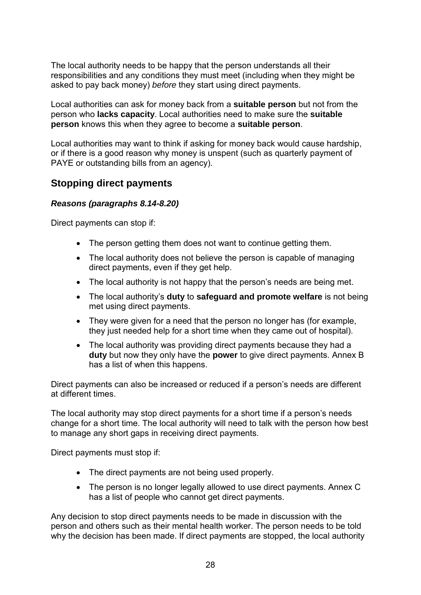The local authority needs to be happy that the person understands all their responsibilities and any conditions they must meet (including when they might be asked to pay back money) *before* they start using direct payments.

Local authorities can ask for money back from a **suitable person** but not from the person who **lacks capacity**. Local authorities need to make sure the **suitable person** knows this when they agree to become a **suitable person**.

Local authorities may want to think if asking for money back would cause hardship, or if there is a good reason why money is unspent (such as quarterly payment of PAYE or outstanding bills from an agency).

## **Stopping direct payments**

### *Reasons (paragraphs 8.14-8.20)*

Direct payments can stop if:

- The person getting them does not want to continue getting them.
- The local authority does not believe the person is capable of managing direct payments, even if they get help.
- The local authority is not happy that the person's needs are being met.
- The local authority's **duty** to **safeguard and promote welfare** is not being met using direct payments.
- They were given for a need that the person no longer has (for example, they just needed help for a short time when they came out of hospital).
- The local authority was providing direct payments because they had a **duty** but now they only have the **power** to give direct payments. Annex B has a list of when this happens.

Direct payments can also be increased or reduced if a person's needs are different at different times.

The local authority may stop direct payments for a short time if a person's needs change for a short time. The local authority will need to talk with the person how best to manage any short gaps in receiving direct payments.

Direct payments must stop if:

- The direct payments are not being used properly.
- The person is no longer legally allowed to use direct payments. Annex C has a list of people who cannot get direct payments.

Any decision to stop direct payments needs to be made in discussion with the person and others such as their mental health worker. The person needs to be told why the decision has been made. If direct payments are stopped, the local authority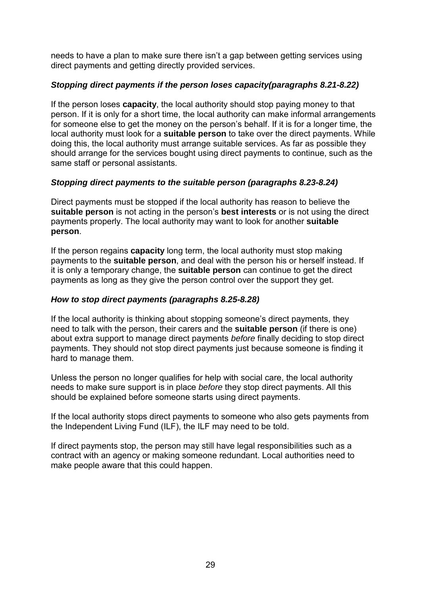needs to have a plan to make sure there isn't a gap between getting services using direct payments and getting directly provided services.

## *Stopping direct payments if the person loses capacity(paragraphs 8.21-8.22)*

If the person loses **capacity**, the local authority should stop paying money to that person. If it is only for a short time, the local authority can make informal arrangements for someone else to get the money on the person's behalf. If it is for a longer time, the local authority must look for a **suitable person** to take over the direct payments. While doing this, the local authority must arrange suitable services. As far as possible they should arrange for the services bought using direct payments to continue, such as the same staff or personal assistants.

## *Stopping direct payments to the suitable person (paragraphs 8.23-8.24)*

Direct payments must be stopped if the local authority has reason to believe the **suitable person** is not acting in the person's **best interests** or is not using the direct payments properly. The local authority may want to look for another **suitable person**.

If the person regains **capacity** long term, the local authority must stop making payments to the **suitable person**, and deal with the person his or herself instead. If it is only a temporary change, the **suitable person** can continue to get the direct payments as long as they give the person control over the support they get.

## *How to stop direct payments (paragraphs 8.25-8.28)*

If the local authority is thinking about stopping someone's direct payments, they need to talk with the person, their carers and the **suitable person** (if there is one) about extra support to manage direct payments *before* finally deciding to stop direct payments. They should not stop direct payments just because someone is finding it hard to manage them.

Unless the person no longer qualifies for help with social care, the local authority needs to make sure support is in place *before* they stop direct payments. All this should be explained before someone starts using direct payments.

If the local authority stops direct payments to someone who also gets payments from the Independent Living Fund (ILF), the ILF may need to be told.

If direct payments stop, the person may still have legal responsibilities such as a contract with an agency or making someone redundant. Local authorities need to make people aware that this could happen.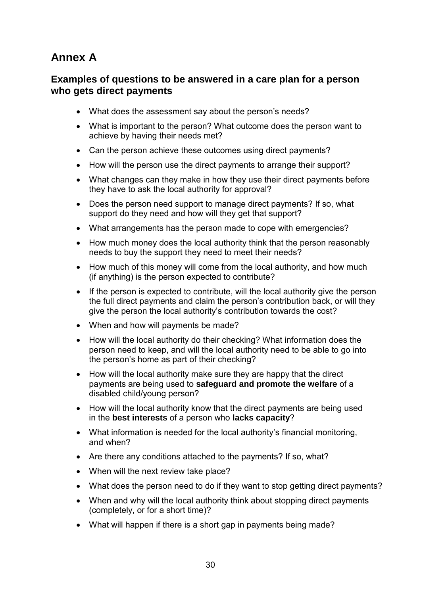# **Annex A**

## **Examples of questions to be answered in a care plan for a person who gets direct payments**

- What does the assessment say about the person's needs?
- What is important to the person? What outcome does the person want to achieve by having their needs met?
- Can the person achieve these outcomes using direct payments?
- How will the person use the direct payments to arrange their support?
- What changes can they make in how they use their direct payments before they have to ask the local authority for approval?
- Does the person need support to manage direct payments? If so, what support do they need and how will they get that support?
- What arrangements has the person made to cope with emergencies?
- How much money does the local authority think that the person reasonably needs to buy the support they need to meet their needs?
- How much of this money will come from the local authority, and how much (if anything) is the person expected to contribute?
- If the person is expected to contribute, will the local authority give the person the full direct payments and claim the person's contribution back, or will they give the person the local authority's contribution towards the cost?
- When and how will payments be made?
- How will the local authority do their checking? What information does the person need to keep, and will the local authority need to be able to go into the person's home as part of their checking?
- How will the local authority make sure they are happy that the direct payments are being used to **safeguard and promote the welfare** of a disabled child/young person?
- How will the local authority know that the direct payments are being used in the **best interests** of a person who **lacks capacity**?
- What information is needed for the local authority's financial monitoring, and when?
- Are there any conditions attached to the payments? If so, what?
- When will the next review take place?
- What does the person need to do if they want to stop getting direct payments?
- When and why will the local authority think about stopping direct payments (completely, or for a short time)?
- What will happen if there is a short gap in payments being made?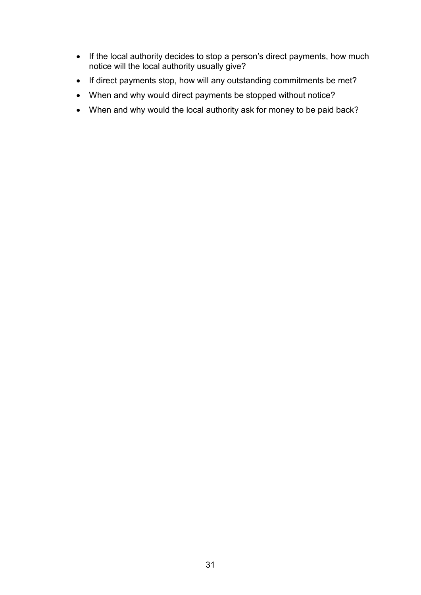- If the local authority decides to stop a person's direct payments, how much notice will the local authority usually give?
- If direct payments stop, how will any outstanding commitments be met?
- When and why would direct payments be stopped without notice?
- When and why would the local authority ask for money to be paid back?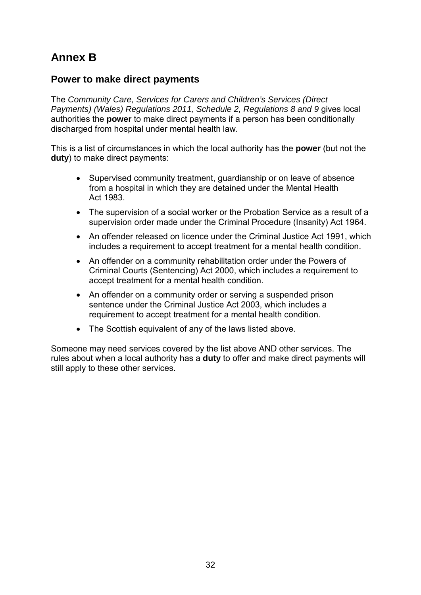# **Annex B**

## **Power to make direct payments**

The *Community Care, Services for Carers and Children's Services (Direct Payments) (Wales) Regulations 2011, Schedule 2, Regulations 8 and 9 gives local* authorities the **power** to make direct payments if a person has been conditionally discharged from hospital under mental health law.

This is a list of circumstances in which the local authority has the **power** (but not the **duty**) to make direct payments:

- Supervised community treatment, guardianship or on leave of absence from a hospital in which they are detained under the Mental Health Act 1983.
- The supervision of a social worker or the Probation Service as a result of a supervision order made under the Criminal Procedure (Insanity) Act 1964.
- An offender released on licence under the Criminal Justice Act 1991, which includes a requirement to accept treatment for a mental health condition.
- An offender on a community rehabilitation order under the Powers of Criminal Courts (Sentencing) Act 2000, which includes a requirement to accept treatment for a mental health condition.
- An offender on a community order or serving a suspended prison sentence under the Criminal Justice Act 2003, which includes a requirement to accept treatment for a mental health condition.
- The Scottish equivalent of any of the laws listed above.

Someone may need services covered by the list above AND other services. The rules about when a local authority has a **duty** to offer and make direct payments will still apply to these other services.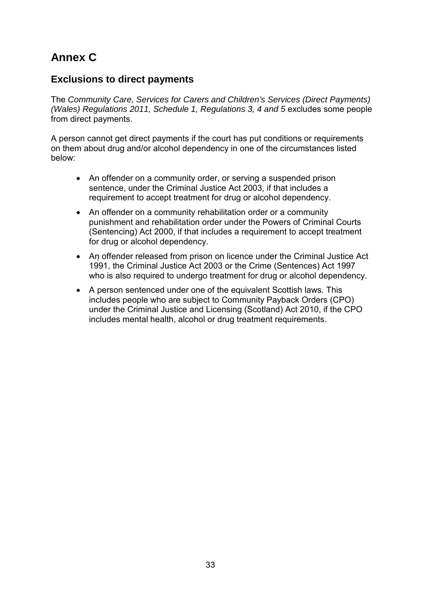# **Annex C**

## **Exclusions to direct payments**

The *Community Care, Services for Carers and Children's Services (Direct Payments) (Wales) Regulations 2011, Schedule 1, Regulations 3, 4 and 5 excludes some people* from direct payments.

A person cannot get direct payments if the court has put conditions or requirements on them about drug and/or alcohol dependency in one of the circumstances listed below:

- An offender on a community order, or serving a suspended prison sentence, under the Criminal Justice Act 2003, if that includes a requirement to accept treatment for drug or alcohol dependency.
- An offender on a community rehabilitation order or a community punishment and rehabilitation order under the Powers of Criminal Courts (Sentencing) Act 2000, if that includes a requirement to accept treatment for drug or alcohol dependency.
- An offender released from prison on licence under the Criminal Justice Act 1991, the Criminal Justice Act 2003 or the Crime (Sentences) Act 1997 who is also required to undergo treatment for drug or alcohol dependency.
- A person sentenced under one of the equivalent Scottish laws. This includes people who are subject to Community Payback Orders (CPO) under the Criminal Justice and Licensing (Scotland) Act 2010, if the CPO includes mental health, alcohol or drug treatment requirements.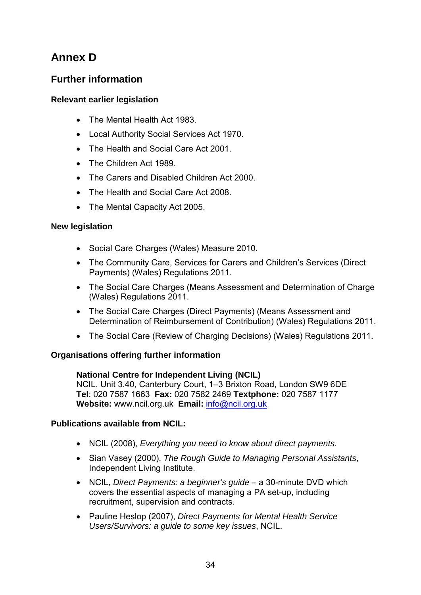# **Annex D**

# **Further information**

## **Relevant earlier legislation**

- The Mental Health Act 1983.
- Local Authority Social Services Act 1970.
- The Health and Social Care Act 2001.
- The Children Act 1989.
- The Carers and Disabled Children Act 2000.
- The Health and Social Care Act 2008.
- The Mental Capacity Act 2005.

### **New legislation**

- Social Care Charges (Wales) Measure 2010.
- The Community Care, Services for Carers and Children's Services (Direct Payments) (Wales) Regulations 2011.
- The Social Care Charges (Means Assessment and Determination of Charge (Wales) Regulations 2011.
- The Social Care Charges (Direct Payments) (Means Assessment and Determination of Reimbursement of Contribution) (Wales) Regulations 2011.
- The Social Care (Review of Charging Decisions) (Wales) Regulations 2011.

## **Organisations offering further information**

## **National Centre for Independent Living (NCIL)**

NCIL, Unit 3.40, Canterbury Court, 1–3 Brixton Road, London SW9 6DE **Tel**: 020 7587 1663 **Fax:** 020 7582 2469 **Textphone:** 020 7587 1177 **Website:** www.ncil.org.uk **Email:** [info@ncil.org.uk](mailto:info@ncil.org.uk)

### **Publications available from NCIL:**

- NCIL (2008), *Everything you need to know about direct payments.*
- Sian Vasey (2000), *The Rough Guide to Managing Personal Assistants*, Independent Living Institute.
- NCIL, *Direct Payments: a beginner's guide* a 30-minute DVD which covers the essential aspects of managing a PA set-up, including recruitment, supervision and contracts.
- Pauline Heslop (2007), *Direct Payments for Mental Health Service Users/Survivors: a guide to some key issues*, NCIL.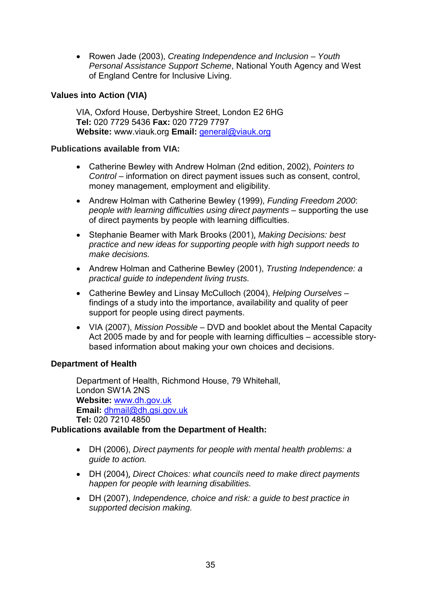• Rowen Jade (2003), *Creating Independence and Inclusion – Youth Personal Assistance Support Scheme*, National Youth Agency and West of England Centre for Inclusive Living.

### **Values into Action (VIA)**

VIA, Oxford House, Derbyshire Street, London E2 6HG **Tel:** 020 7729 5436 **Fax:** 020 7729 7797 **Website:** www.viauk.org **Email:** [general@viauk.org](mailto:general@viauk.org)

### **Publications available from VIA:**

- Catherine Bewley with Andrew Holman (2nd edition, 2002), *Pointers to Control* – information on direct payment issues such as consent, control, money management, employment and eligibility.
- Andrew Holman with Catherine Bewley (1999), *Funding Freedom 2000*: *people with learning difficulties using direct payments* – supporting the use of direct payments by people with learning difficulties.
- Stephanie Beamer with Mark Brooks (2001), *Making Decisions: best practice and new ideas for supporting people with high support needs to make decisions.*
- Andrew Holman and Catherine Bewley (2001), *Trusting Independence: a practical guide to independent living trusts.*
- Catherine Bewley and Linsay McCulloch (2004), *Helping Ourselves* findings of a study into the importance, availability and quality of peer support for people using direct payments.
- VIA (2007), *Mission Possible*  DVD and booklet about the Mental Capacity Act 2005 made by and for people with learning difficulties – accessible storybased information about making your own choices and decisions.

### **Department of Health**

Department of Health, Richmond House, 79 Whitehall, London SW1A 2NS **Website:** [www.dh.gov.uk](http://www.dh.gov.uk/)  **Email:** [dhmail@dh.gsi.gov.uk](mailto:dhmail@dh.gsi.gov.uk)  **Tel:** 020 7210 4850

### **Publications available from the Department of Health:**

- DH (2006), *Direct payments for people with mental health problems: a guide to action.*
- DH (2004), *Direct Choices: what councils need to make direct payments happen for people with learning disabilities.*
- DH (2007), *Independence, choice and risk: a guide to best practice in supported decision making.*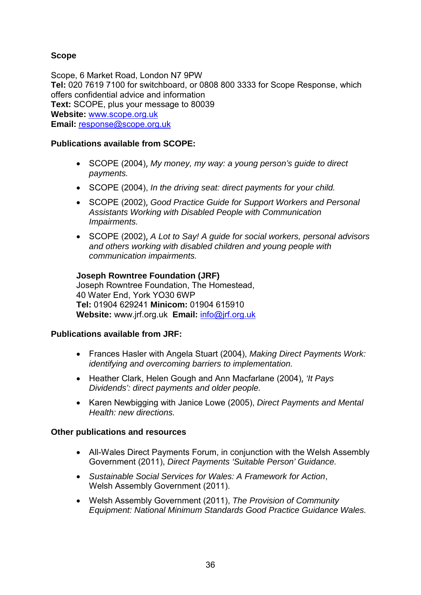## **Scope**

Scope, 6 Market Road, London N7 9PW **Tel:** 020 7619 7100 for switchboard, or 0808 800 3333 for Scope Response, which offers confidential advice and information **Text:** SCOPE, plus your message to 80039 **Website:** [www.scope.org.uk](http://www.scope.org.uk/) **Email:** [response@scope.org.uk](mailto:response@scope.org.uk) 

## **Publications available from SCOPE:**

- SCOPE (2004), *My money, my way: a young person's guide to direct payments.*
- SCOPE (2004), *In the driving seat: direct payments for your child.*
- SCOPE (2002), *Good Practice Guide for Support Workers and Personal Assistants Working with Disabled People with Communication Impairments.*
- SCOPE (2002), *A Lot to Say! A guide for social workers, personal advisors and others working with disabled children and young people with communication impairments.*

**Joseph Rowntree Foundation (JRF)** Joseph Rowntree Foundation, The Homestead, 40 Water End, York YO30 6WP **Tel:** 01904 629241 **Minicom:** 01904 615910 **Website:** www.jrf.org.uk **Email:** [info@jrf.org.uk](mailto:info@jrf.org.uk)

### **Publications available from JRF:**

- Frances Hasler with Angela Stuart (2004), *Making Direct Payments Work: identifying and overcoming barriers to implementation.*
- Heather Clark, Helen Gough and Ann Macfarlane (2004), *'It Pays Dividends': direct payments and older people.*
- Karen Newbigging with Janice Lowe (2005), *Direct Payments and Mental Health: new directions.*

### **Other publications and resources**

- All-Wales Direct Payments Forum, in conjunction with the Welsh Assembly Government (2011), *Direct Payments 'Suitable Person' Guidance.*
- *Sustainable Social Services for Wales: A Framework for Action*, Welsh Assembly Government (2011).
- Welsh Assembly Government (2011), *The Provision of Community Equipment: National Minimum Standards Good Practice Guidance Wales.*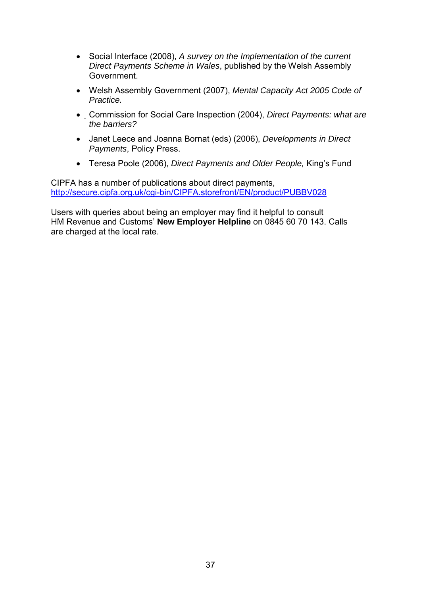- Social Interface (2008), *A survey on the Implementation of the current Direct Payments Scheme in Wales*, published by the Welsh Assembly Government.
- Welsh Assembly Government (2007), *Mental Capacity Act 2005 Code of Practice.*
- Commission for Social Care Inspection (2004), *Direct Payments: what are the barriers?*
- Janet Leece and Joanna Bornat (eds) (2006), *Developments in Direct Payments*, Policy Press.
- Teresa Poole (2006), *Direct Payments and Older People,* King's Fund

CIPFA has a number of publications about direct payments, <http://secure.cipfa.org.uk/cgi-bin/CIPFA.storefront/EN/product/PUBBV028>

Users with queries about being an employer may find it helpful to consult HM Revenue and Customs' **New Employer Helpline** on 0845 60 70 143. Calls are charged at the local rate.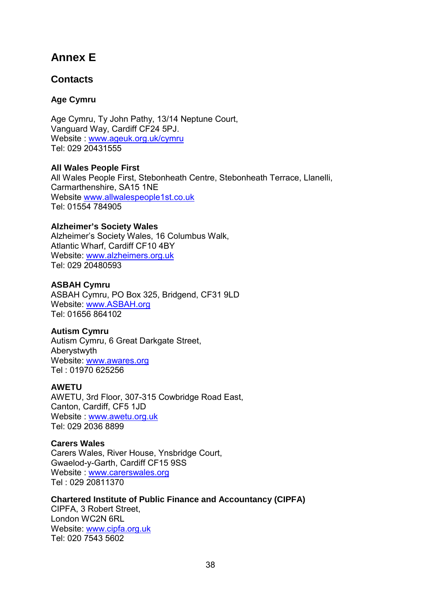# **Annex E**

# **Contacts**

## **Age Cymru**

Age Cymru, Ty John Pathy, 13/14 Neptune Court, Vanguard Way, Cardiff CF24 5PJ. Website : [www.ageuk.org.uk/cymru](http://www.ageuk.org.uk/cymru) Tel: 029 20431555

**All Wales People First**  All Wales People First, Stebonheath Centre, Stebonheath Terrace, Llanelli, Carmarthenshire, SA15 1NE Website [www.allwalespeople1st.co.uk](http://www.allwalespeople1st.co.uk/)  Tel: 01554 784905

### **Alzheimer's Society Wales**

Alzheimer's Society Wales, 16 Columbus Walk, Atlantic Wharf, Cardiff CF10 4BY Website: [www.alzheimers.org.uk](http://www.alzheimers.org.uk/) Tel: 029 20480593

### **ASBAH Cymru**

ASBAH Cymru, PO Box 325, Bridgend, CF31 9LD Website: [www.ASBAH.org](http://www.asbah.org/)  Tel: 01656 864102

### **Autism Cymru**

Autism Cymru, 6 Great Darkgate Street, Aberystwyth Website: [www.awares.org](http://www.awares.org/)  Tel : 01970 625256

### **AWETU**

AWETU, 3rd Floor, 307-315 Cowbridge Road East, Canton, Cardiff, CF5 1JD Website : [www.awetu.org.uk](http://www.awetu.org.uk/) Tel: 029 2036 8899

### **Carers Wales**

Carers Wales, River House, Ynsbridge Court, Gwaelod-y-Garth, Cardiff CF15 9SS Website : [www.carerswales.org](http://www.carerswales.org/) Tel : 029 20811370

### **Chartered Institute of Public Finance and Accountancy (CIPFA)**

CIPFA, 3 Robert Street, London WC2N 6RL Website: [www.cipfa.org.uk](http://www.cipfa.org.uk/) Tel: 020 7543 5602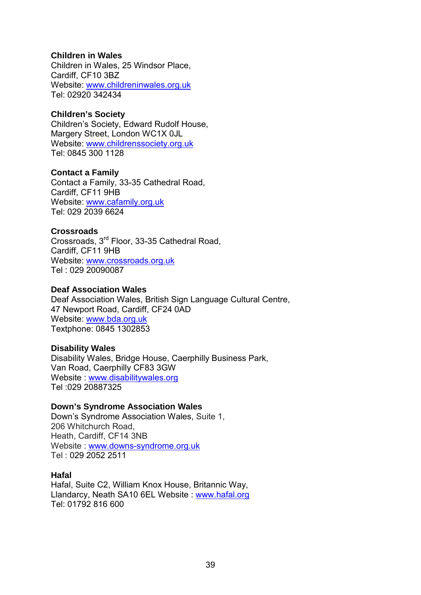### **Children in Wales**

Children in Wales, 25 Windsor Place, Cardiff, CF10 3BZ Website: [www.childreninwales.org.uk](http://www.childreninwales.org.uk/) Tel: 02920 342434

### **Children's Society**

Children's Society, Edward Rudolf House, Margery Street, London WC1X 0JL Website: [www.childrenssociety.org.uk](http://www.childrenssociety.org.uk/) Tel: 0845 300 1128

#### **Contact a Family**

Contact a Family, 33-35 Cathedral Road, Cardiff, CF11 9HB Website: [www.cafamily.org.uk](http://www.cafamily.org.uk/) Tel: 029 2039 6624

### **Crossroads**

Crossroads, 3rd Floor, 33-35 Cathedral Road, Cardiff, CF11 9HB Website: [www.crossroads.org.uk](http://www.crossroads.org.uk/) Tel : 029 20090087

### **Deaf Association Wales**

Deaf Association Wales, British Sign Language Cultural Centre, 47 Newport Road, Cardiff, CF24 0AD Website: [www.bda.org.uk](http://www.bda.org.uk/) Textphone: 0845 1302853

### **Disability Wales**

Disability Wales, Bridge House, Caerphilly Business Park, Van Road, Caerphilly CF83 3GW Website : [www.disabilitywales.org](http://www.disabilitywales.org/) Tel :029 20887325

### **Down's Syndrome Association Wales**

Down's Syndrome Association Wales, Suite 1, 206 Whitchurch Road, Heath, Cardiff, CF14 3NB Website : [www.downs-syndrome.org.uk](http://www.downs-syndrome.org.uk/)  Tel : 029 2052 2511

### **Hafal**

Hafal, Suite C2, William Knox House, Britannic Way, Llandarcy, Neath SA10 6EL Website : [www.hafal.org](http://www.hafal.org/)  Tel: 01792 816 600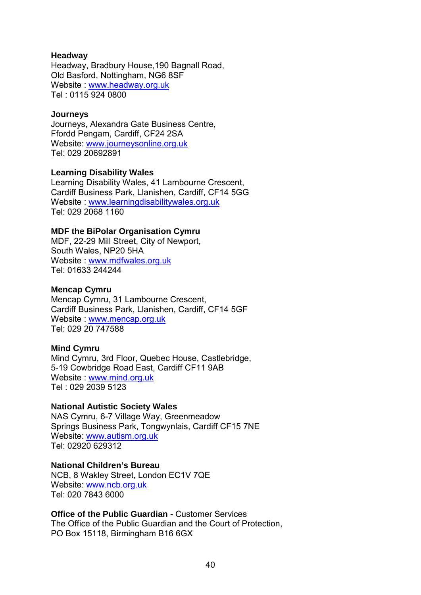### **Headway**

Headway, Bradbury House,190 Bagnall Road, Old Basford, Nottingham, NG6 8SF Website : [www.headway.org.uk](http://www.headway.org.uk/) Tel : 0115 924 0800

#### **Journeys**

Journeys, Alexandra Gate Business Centre, Ffordd Pengam, Cardiff, CF24 2SA Website: [www.journeysonline.org.uk](http://www.journeysonline.org.uk/) Tel: 029 20692891

#### **Learning Disability Wales**

Learning Disability Wales, 41 Lambourne Crescent, Cardiff Business Park, Llanishen, Cardiff, CF14 5GG Website : [www.learningdisabilitywales.org.uk](http://www.learningdisabilitywales.org.uk/)  Tel: 029 2068 1160

### **MDF the BiPolar Organisation Cymru**

MDF, 22-29 Mill Street, City of Newport, South Wales, NP20 5HA Website : [www.mdfwales.org.uk](http://www.mdfwales.org.uk/) Tel: 01633 244244

#### **Mencap Cymru**

Mencap Cymru, 31 Lambourne Crescent, Cardiff Business Park, Llanishen, Cardiff, CF14 5GF Website : [www.mencap.org.uk](http://www.mencap.org.uk/) Tel: 029 20 747588

#### **Mind Cymru**

Mind Cymru, 3rd Floor, Quebec House, Castlebridge, 5-19 Cowbridge Road East, Cardiff CF11 9AB Website : [www.mind.org.uk](http://www.mind.org.uk/) Tel : 029 2039 5123

## **National Autistic Society Wales**

NAS Cymru, 6-7 Village Way, Greenmeadow Springs Business Park, Tongwynlais, Cardiff CF15 7NE Website: [www.autism.org.uk](http://www.autism.org.uk/) Tel: 02920 629312

#### **National Children's Bureau**

NCB, 8 Wakley Street, London EC1V 7QE Website: [www.ncb.org.uk](http://www.ncb.org.uk/) Tel: 020 7843 6000

### **Office of the Public Guardian - Customer Services**

The Office of the Public Guardian and the Court of Protection, PO Box 15118, Birmingham B16 6GX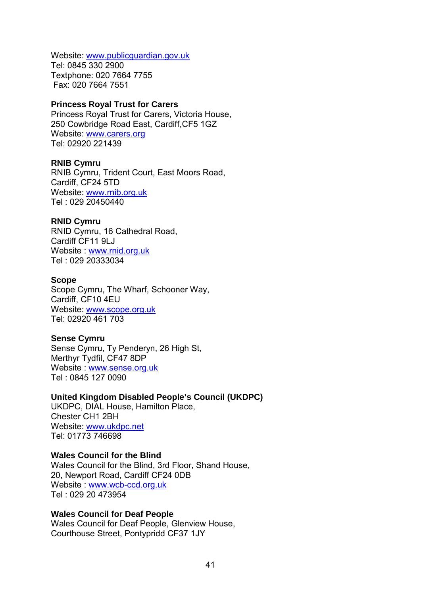Website: [www.publicguardian.gov.uk](http://www.publicguardian.gov.uk/) Tel: 0845 330 2900 Textphone: 020 7664 7755 Fax: 020 7664 7551

#### **Princess Royal Trust for Carers**

Princess Royal Trust for Carers, Victoria House, 250 Cowbridge Road East, Cardiff,CF5 1GZ Website: [www.carers.org](http://www.carers.org/) Tel: 02920 221439

#### **RNIB Cymru**

RNIB Cymru, Trident Court, East Moors Road, Cardiff, CF24 5TD Website: [www.rnib.org.uk](http://www.rnib.org.uk/)  Tel : 029 20450440

#### **RNID Cymru**

RNID Cymru, 16 Cathedral Road, Cardiff CF11 9LJ Website : [www.rnid.org.uk](http://www.rnid.org.uk/) Tel : 029 20333034

#### **Scope**

Scope Cymru, The Wharf, Schooner Way, Cardiff, CF10 4EU Website: [www.scope.org.uk](http://www.scope.org.uk/) Tel: 02920 461 703

#### **Sense Cymru**

Sense Cymru, Ty Penderyn, 26 High St, Merthyr Tydfil, CF47 8DP Website : [www.sense.org.uk](http://www.sense.org.uk/) Tel : 0845 127 0090

#### **United Kingdom Disabled People's Council (UKDPC)**

UKDPC, DIAL House, Hamilton Place, Chester CH1 2BH Website: [www.ukdpc.net](http://www.ukdpc.net/)  Tel: 01773 746698

#### **Wales Council for the Blind**

Wales Council for the Blind, 3rd Floor, Shand House, 20, Newport Road, Cardiff CF24 0DB Website : [www.wcb-ccd.org.uk](http://www.wcb-ccd.org.uk/) Tel : 029 20 473954

#### **Wales Council for Deaf People**

Wales Council for Deaf People, Glenview House, Courthouse Street, Pontypridd CF37 1JY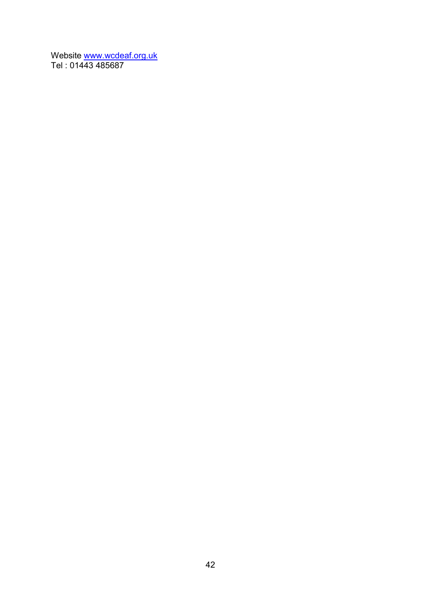Website www.wcdeaf.org.uk Tel : 01443 485687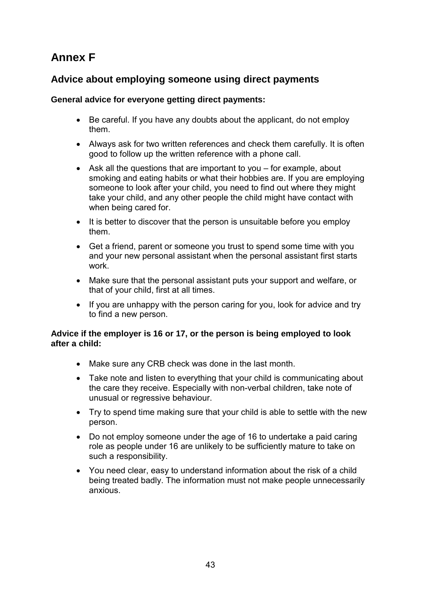# **Annex F**

# **Advice about employing someone using direct payments**

## **General advice for everyone getting direct payments:**

- Be careful. If you have any doubts about the applicant, do not employ them.
- Always ask for two written references and check them carefully. It is often good to follow up the written reference with a phone call.
- Ask all the questions that are important to you for example, about smoking and eating habits or what their hobbies are. If you are employing someone to look after your child, you need to find out where they might take your child, and any other people the child might have contact with when being cared for.
- It is better to discover that the person is unsuitable before you employ them.
- Get a friend, parent or someone you trust to spend some time with you and your new personal assistant when the personal assistant first starts work.
- Make sure that the personal assistant puts your support and welfare, or that of your child, first at all times.
- If you are unhappy with the person caring for you, look for advice and try to find a new person.

### **Advice if the employer is 16 or 17, or the person is being employed to look after a child:**

- Make sure any CRB check was done in the last month.
- Take note and listen to everything that your child is communicating about the care they receive. Especially with non-verbal children, take note of unusual or regressive behaviour.
- Try to spend time making sure that your child is able to settle with the new person.
- Do not employ someone under the age of 16 to undertake a paid caring role as people under 16 are unlikely to be sufficiently mature to take on such a responsibility.
- You need clear, easy to understand information about the risk of a child being treated badly. The information must not make people unnecessarily anxious.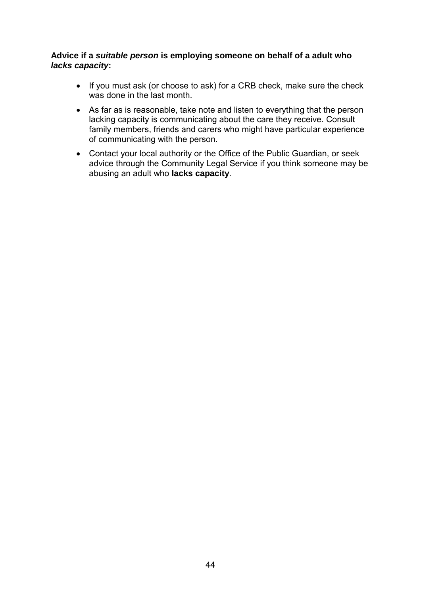### **Advice if a** *suitable person* **is employing someone on behalf of a adult who**  *lacks capacity***:**

- If you must ask (or choose to ask) for a CRB check, make sure the check was done in the last month.
- As far as is reasonable, take note and listen to everything that the person lacking capacity is communicating about the care they receive. Consult family members, friends and carers who might have particular experience of communicating with the person.
- Contact your local authority or the Office of the Public Guardian, or seek advice through the Community Legal Service if you think someone may be abusing an adult who **lacks capacity**.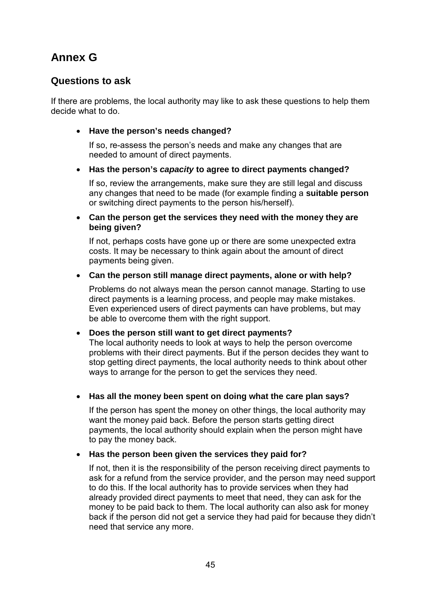# **Annex G**

## **Questions to ask**

If there are problems, the local authority may like to ask these questions to help them decide what to do.

• **Have the person's needs changed?** 

 If so, re-assess the person's needs and make any changes that are needed to amount of direct payments.

## • **Has the person's** *capacity* **to agree to direct payments changed?**

 If so, review the arrangements, make sure they are still legal and discuss any changes that need to be made (for example finding a **suitable person** or switching direct payments to the person his/herself).

• **Can the person get the services they need with the money they are being given?** 

 If not, perhaps costs have gone up or there are some unexpected extra costs. It may be necessary to think again about the amount of direct payments being given.

### • **Can the person still manage direct payments, alone or with help?**

 Problems do not always mean the person cannot manage. Starting to use direct payments is a learning process, and people may make mistakes. Even experienced users of direct payments can have problems, but may be able to overcome them with the right support.

### • **Does the person still want to get direct payments?**

 The local authority needs to look at ways to help the person overcome problems with their direct payments. But if the person decides they want to stop getting direct payments, the local authority needs to think about other ways to arrange for the person to get the services they need.

## • **Has all the money been spent on doing what the care plan says?**

 If the person has spent the money on other things, the local authority may want the money paid back. Before the person starts getting direct payments, the local authority should explain when the person might have to pay the money back.

## • **Has the person been given the services they paid for?**

 If not, then it is the responsibility of the person receiving direct payments to ask for a refund from the service provider, and the person may need support to do this. If the local authority has to provide services when they had already provided direct payments to meet that need, they can ask for the money to be paid back to them. The local authority can also ask for money back if the person did not get a service they had paid for because they didn't need that service any more.